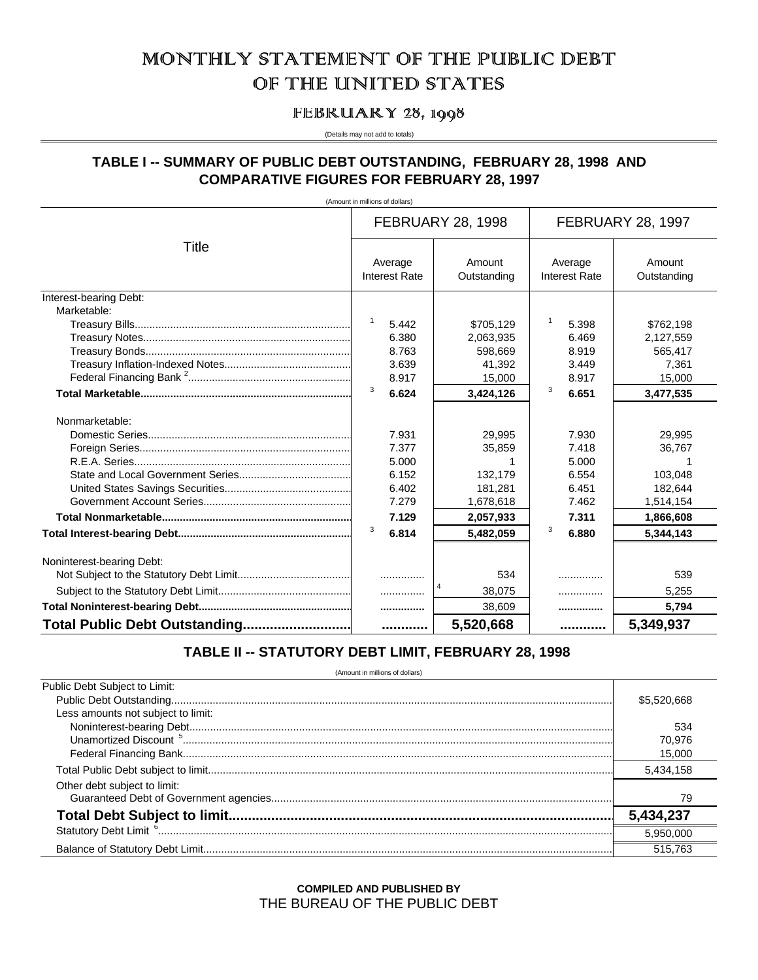# MONTHILY STATEMENT OF THE PUBLIC DEBT OF THE UNITED STATES

# FEBRUARY 28, 1998

#### (Details may not add to totals)

# TABLE I -- SUMMARY OF PUBLIC DEBT OUTSTANDING, FEBRUARY 28, 1998 AND **COMPARATIVE FIGURES FOR FEBRUARY 28, 1997**

(Amount in millions of dollars)

|                               |                                 | <b>FEBRUARY 28, 1998</b> |                                 | <b>FEBRUARY 28, 1997</b> |
|-------------------------------|---------------------------------|--------------------------|---------------------------------|--------------------------|
| Title                         | Average<br><b>Interest Rate</b> | Amount<br>Outstanding    | Average<br><b>Interest Rate</b> | Amount<br>Outstanding    |
| Interest-bearing Debt:        |                                 |                          |                                 |                          |
| Marketable:                   |                                 |                          |                                 |                          |
|                               | 1<br>5.442                      | \$705,129                | 5.398                           | \$762,198                |
|                               | 6.380                           | 2,063,935                | 6.469                           | 2,127,559                |
|                               | 8.763                           | 598.669                  | 8.919                           | 565,417                  |
|                               | 3.639                           | 41,392                   | 3.449                           | 7,361                    |
|                               | 8.917                           | 15,000                   | 8.917                           | 15,000                   |
|                               | 3<br>6.624                      | 3,424,126                | 3<br>6.651                      | 3,477,535                |
| Nonmarketable:                |                                 |                          |                                 |                          |
|                               | 7.931                           | 29.995                   | 7.930                           | 29.995                   |
|                               | 7.377                           | 35,859                   | 7.418                           | 36,767                   |
|                               | 5.000                           |                          | 5.000                           |                          |
|                               | 6.152                           | 132,179                  | 6.554                           | 103.048                  |
|                               | 6.402                           | 181,281                  | 6.451                           | 182,644                  |
|                               | 7.279                           | 1,678,618                | 7.462                           | 1,514,154                |
|                               | 7.129                           | 2,057,933                | 7.311                           | 1,866,608                |
|                               | 3<br>6.814                      | 5,482,059                | 3<br>6.880                      | 5.344.143                |
| Noninterest-bearing Debt:     |                                 |                          |                                 |                          |
|                               | .                               | 534                      | .                               | 539                      |
|                               | .                               | 38,075                   | .                               | 5,255                    |
|                               |                                 | 38,609                   |                                 | 5,794                    |
| Total Public Debt Outstanding |                                 | 5,520,668                |                                 | 5,349,937                |

# TABLE II -- STATUTORY DEBT LIMIT, FEBRUARY 28, 1998

(Amount in millions of dollars)

| Public Debt Subject to Limit:      |             |
|------------------------------------|-------------|
|                                    | \$5,520,668 |
| Less amounts not subject to limit: |             |
|                                    | 534         |
|                                    | 70.976      |
|                                    | 15,000      |
|                                    | 5,434,158   |
| Other debt subject to limit:       |             |
|                                    | 79          |
|                                    | 5,434,237   |
|                                    | 5.950.000   |
|                                    | 515.763     |

# **COMPILED AND PUBLISHED BY** THE BUREAU OF THE PUBLIC DEBT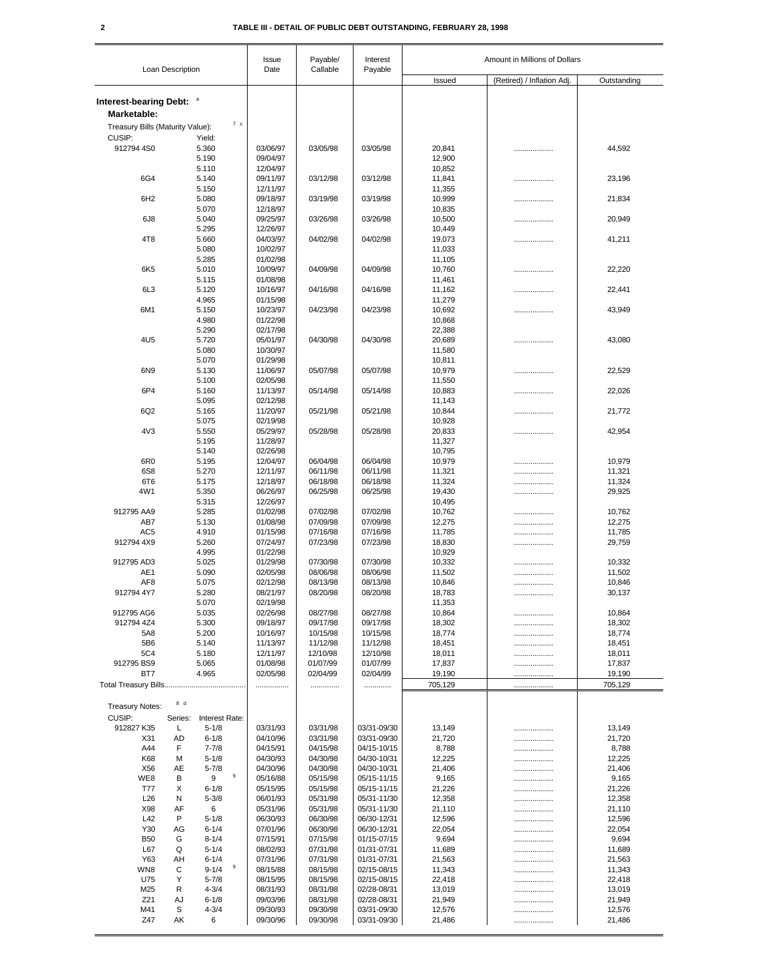### **2 TABLE III - DETAIL OF PUBLIC DEBT OUTSTANDING, FEBRUARY 28, 1998**

|                                         |                  |                             |     | Issue                | Payable/             | Interest                   |                  | Amount in Millions of Dollars |                  |
|-----------------------------------------|------------------|-----------------------------|-----|----------------------|----------------------|----------------------------|------------------|-------------------------------|------------------|
|                                         | Loan Description |                             |     | Date                 | Callable             | Payable                    | Issued           | (Retired) / Inflation Adj.    | Outstanding      |
|                                         |                  |                             |     |                      |                      |                            |                  |                               |                  |
| Interest-bearing Debt: a<br>Marketable: |                  |                             |     |                      |                      |                            |                  |                               |                  |
| Treasury Bills (Maturity Value):        |                  |                             | 7 c |                      |                      |                            |                  |                               |                  |
| CUSIP:                                  |                  | Yield:                      |     |                      |                      |                            |                  |                               |                  |
| 912794 4S0                              |                  | 5.360                       |     | 03/06/97             | 03/05/98             | 03/05/98                   | 20,841           |                               | 44,592           |
|                                         |                  | 5.190<br>5.110              |     | 09/04/97<br>12/04/97 |                      |                            | 12,900<br>10,852 |                               |                  |
| 6G4                                     |                  | 5.140                       |     | 09/11/97             | 03/12/98             | 03/12/98                   | 11,841           | .                             | 23,196           |
|                                         |                  | 5.150                       |     | 12/11/97             |                      |                            | 11,355           |                               |                  |
| 6H <sub>2</sub>                         |                  | 5.080                       |     | 09/18/97             | 03/19/98             | 03/19/98                   | 10,999           | .                             | 21,834           |
| 6J <sub>8</sub>                         |                  | 5.070<br>5.040              |     | 12/18/97<br>09/25/97 | 03/26/98             | 03/26/98                   | 10,835<br>10,500 | .                             | 20,949           |
|                                         |                  | 5.295                       |     | 12/26/97             |                      |                            | 10,449           |                               |                  |
| 4T <sub>8</sub>                         |                  | 5.660                       |     | 04/03/97             | 04/02/98             | 04/02/98                   | 19,073           | .                             | 41,211           |
|                                         |                  | 5.080<br>5.285              |     | 10/02/97<br>01/02/98 |                      |                            | 11,033<br>11,105 |                               |                  |
| 6K <sub>5</sub>                         |                  | 5.010                       |     | 10/09/97             | 04/09/98             | 04/09/98                   | 10,760           |                               | 22,220           |
|                                         |                  | 5.115                       |     | 01/08/98             |                      |                            | 11,461           |                               |                  |
| 6L <sub>3</sub>                         |                  | 5.120                       |     | 10/16/97             | 04/16/98             | 04/16/98                   | 11,162           | .                             | 22,441           |
| 6M1                                     |                  | 4.965<br>5.150              |     | 01/15/98<br>10/23/97 | 04/23/98             | 04/23/98                   | 11,279<br>10,692 | .                             | 43,949           |
|                                         |                  | 4.980                       |     | 01/22/98             |                      |                            | 10,868           |                               |                  |
|                                         |                  | 5.290                       |     | 02/17/98             |                      |                            | 22,388           |                               |                  |
| 4U5                                     |                  | 5.720                       |     | 05/01/97             | 04/30/98             | 04/30/98                   | 20,689           | .                             | 43,080           |
|                                         |                  | 5.080<br>5.070              |     | 10/30/97<br>01/29/98 |                      |                            | 11,580<br>10,811 |                               |                  |
| 6N9                                     |                  | 5.130                       |     | 11/06/97             | 05/07/98             | 05/07/98                   | 10,979           |                               | 22,529           |
|                                         |                  | 5.100                       |     | 02/05/98             |                      |                            | 11,550           |                               |                  |
| 6P4                                     |                  | 5.160                       |     | 11/13/97             | 05/14/98             | 05/14/98                   | 10,883           |                               | 22,026           |
|                                         |                  | 5.095                       |     | 02/12/98             |                      |                            | 11,143           |                               |                  |
| 6Q2                                     |                  | 5.165<br>5.075              |     | 11/20/97<br>02/19/98 | 05/21/98             | 05/21/98                   | 10,844<br>10,928 |                               | 21,772           |
| 4V3                                     |                  | 5.550                       |     | 05/29/97             | 05/28/98             | 05/28/98                   | 20,833           | .                             | 42,954           |
|                                         |                  | 5.195                       |     | 11/28/97             |                      |                            | 11,327           |                               |                  |
|                                         |                  | 5.140                       |     | 02/26/98             |                      |                            | 10,795           |                               |                  |
| 6R <sub>0</sub>                         |                  | 5.195                       |     | 12/04/97             | 06/04/98             | 06/04/98                   | 10,979           | .                             | 10,979           |
| 6S8<br>6T6                              |                  | 5.270<br>5.175              |     | 12/11/97<br>12/18/97 | 06/11/98<br>06/18/98 | 06/11/98<br>06/18/98       | 11,321<br>11,324 |                               | 11,321<br>11,324 |
| 4W1                                     |                  | 5.350                       |     | 06/26/97             | 06/25/98             | 06/25/98                   | 19,430           | <br>                          | 29,925           |
|                                         |                  | 5.315                       |     | 12/26/97             |                      |                            | 10,495           |                               |                  |
| 912795 AA9                              |                  | 5.285                       |     | 01/02/98             | 07/02/98             | 07/02/98                   | 10,762           |                               | 10,762           |
| AB7                                     |                  | 5.130                       |     | 01/08/98             | 07/09/98             | 07/09/98                   | 12,275           |                               | 12,275           |
| AC <sub>5</sub><br>912794 4X9           |                  | 4.910<br>5.260              |     | 01/15/98<br>07/24/97 | 07/16/98<br>07/23/98 | 07/16/98<br>07/23/98       | 11,785<br>18,830 | <br>.                         | 11,785<br>29,759 |
|                                         |                  | 4.995                       |     | 01/22/98             |                      |                            | 10,929           |                               |                  |
| 912795 AD3                              |                  | 5.025                       |     | 01/29/98             | 07/30/98             | 07/30/98                   | 10,332           | .                             | 10,332           |
| AE1                                     |                  | 5.090                       |     | 02/05/98             | 08/06/98             | 08/06/98                   | 11,502           |                               | 11,502           |
| AF8<br>912794 4Y7                       |                  | 5.075<br>5.280              |     | 02/12/98<br>08/21/97 | 08/13/98<br>08/20/98 | 08/13/98<br>08/20/98       | 10,846<br>18,783 | .                             | 10,846<br>30,137 |
|                                         |                  | 5.070                       |     | 02/19/98             |                      |                            | 11,353           |                               |                  |
| 912795 AG6                              |                  | 5.035                       |     | 02/26/98             | 08/27/98             | 08/27/98                   | 10,864           |                               | 10,864           |
| 912794 4Z4                              |                  | 5.300                       |     | 09/18/97             | 09/17/98             | 09/17/98                   | 18,302           |                               | 18,302           |
| 5A8                                     |                  | 5.200                       |     | 10/16/97             | 10/15/98             | 10/15/98                   | 18,774           |                               | 18,774           |
| 5B6<br>5C4                              |                  | 5.140<br>5.180              |     | 11/13/97<br>12/11/97 | 11/12/98<br>12/10/98 | 11/12/98<br>12/10/98       | 18,451<br>18,011 | <br>.                         | 18,451<br>18,011 |
| 912795 BS9                              |                  | 5.065                       |     | 01/08/98             | 01/07/99             | 01/07/99                   | 17,837           |                               | 17,837           |
| BT7                                     |                  | 4.965                       |     | 02/05/98             | 02/04/99             | 02/04/99                   | 19,190           |                               | 19,190           |
|                                         |                  |                             |     |                      |                      | .                          | 705,129          |                               | 705,129          |
|                                         | 8 d              |                             |     |                      |                      |                            |                  |                               |                  |
| <b>Treasury Notes:</b>                  |                  |                             |     |                      |                      |                            |                  |                               |                  |
| CUSIP:<br>912827 K35                    | Series:<br>L     | Interest Rate:<br>$5 - 1/8$ |     | 03/31/93             | 03/31/98             | 03/31-09/30                | 13,149           | .                             | 13,149           |
| X31                                     | <b>AD</b>        | $6 - 1/8$                   |     | 04/10/96             | 03/31/98             | 03/31-09/30                | 21,720           |                               | 21,720           |
| A44                                     | F                | $7 - 7/8$                   |     | 04/15/91             | 04/15/98             | 04/15-10/15                | 8,788            | .                             | 8,788            |
| K68                                     | М                | $5 - 1/8$                   |     | 04/30/93             | 04/30/98             | 04/30-10/31                | 12,225           |                               | 12,225           |
| X56<br>WE8                              | AE<br>В          | $5 - 7/8$<br>9              | 9   | 04/30/96<br>05/16/88 | 04/30/98<br>05/15/98 | 04/30-10/31<br>05/15-11/15 | 21,406<br>9,165  |                               | 21,406           |
| T77                                     | х                | $6 - 1/8$                   |     | 05/15/95             | 05/15/98             | 05/15-11/15                | 21,226           | <br>                          | 9,165<br>21,226  |
| L26                                     | N                | $5 - 3/8$                   |     | 06/01/93             | 05/31/98             | 05/31-11/30                | 12,358           |                               | 12,358           |
| X98                                     | AF               | 6                           |     | 05/31/96             | 05/31/98             | 05/31-11/30                | 21,110           |                               | 21,110           |
| L42                                     | P                | $5 - 1/8$                   |     | 06/30/93             | 06/30/98             | 06/30-12/31                | 12,596           | .                             | 12,596           |
| Y30<br><b>B50</b>                       | AG<br>G          | $6 - 1/4$<br>$8 - 1/4$      |     | 07/01/96<br>07/15/91 | 06/30/98<br>07/15/98 | 06/30-12/31<br>01/15-07/15 | 22,054<br>9,694  | <br>                          | 22,054<br>9,694  |
| L67                                     | Q                | $5 - 1/4$                   |     | 08/02/93             | 07/31/98             | 01/31-07/31                | 11,689           |                               | 11,689           |
| Y63                                     | AH               | $6 - 1/4$                   |     | 07/31/96             | 07/31/98             | 01/31-07/31                | 21,563           |                               | 21,563           |
| WN8                                     | С                | $9 - 1/4$                   | 9   | 08/15/88             | 08/15/98             | 02/15-08/15                | 11,343           |                               | 11,343           |
| U75                                     | Υ                | $5 - 7/8$                   |     | 08/15/95             | 08/15/98             | 02/15-08/15                | 22,418           |                               | 22,418           |
| M25<br>Z21                              | R<br>AJ          | $4 - 3/4$<br>$6 - 1/8$      |     | 08/31/93<br>09/03/96 | 08/31/98<br>08/31/98 | 02/28-08/31<br>02/28-08/31 | 13,019<br>21,949 | <br>.                         | 13,019<br>21,949 |
| M41                                     | S                | $4 - 3/4$                   |     | 09/30/93             | 09/30/98             | 03/31-09/30                | 12,576           |                               | 12,576           |
| Z47                                     | АK               | 6                           |     | 09/30/96             | 09/30/98             | 03/31-09/30                | 21,486           |                               | 21,486           |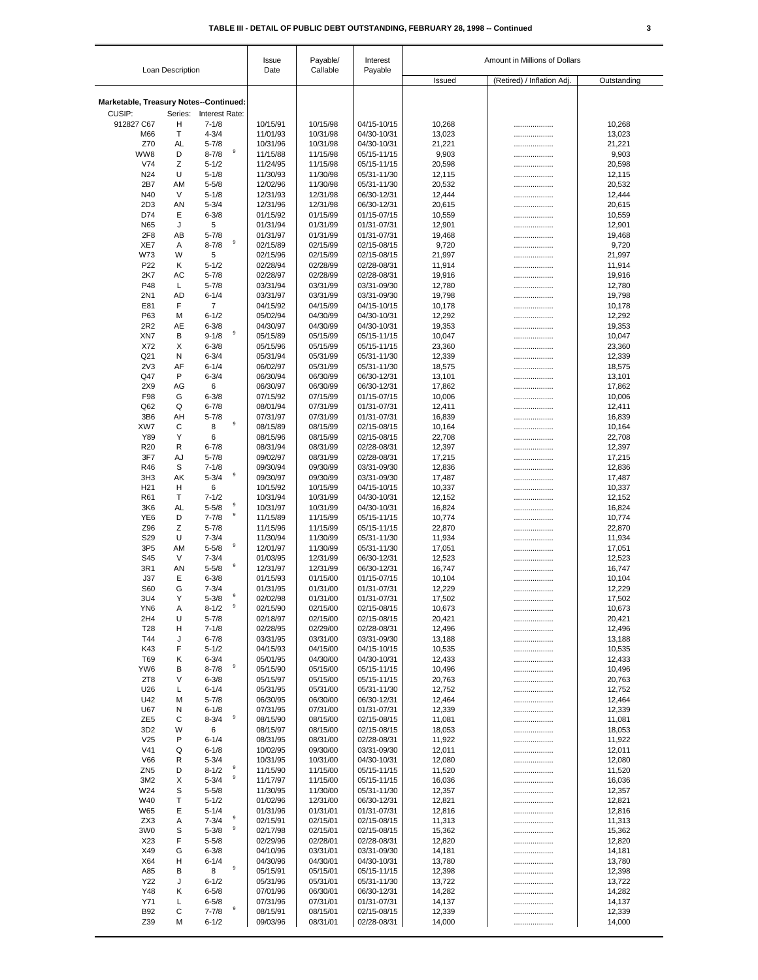|  |   | ۹ |
|--|---|---|
|  | I |   |

|                                                  |                  |                                       | Issue<br>Date        | Payable/             | Interest                   | Amount in Millions of Dollars |                            |                  |
|--------------------------------------------------|------------------|---------------------------------------|----------------------|----------------------|----------------------------|-------------------------------|----------------------------|------------------|
|                                                  | Loan Description |                                       |                      | Callable             | Payable                    | Issued                        | (Retired) / Inflation Adj. | Outstanding      |
|                                                  |                  |                                       |                      |                      |                            |                               |                            |                  |
| Marketable, Treasury Notes--Continued:<br>CUSIP: | Series:          | Interest Rate:                        |                      |                      |                            |                               |                            |                  |
| 912827 C67                                       | н                | $7 - 1/8$                             | 10/15/91             | 10/15/98             | 04/15-10/15                | 10,268                        |                            | 10,268           |
| M66                                              | Τ                | $4 - 3/4$                             | 11/01/93             | 10/31/98             | 04/30-10/31                | 13,023                        |                            | 13,023           |
| Z70                                              | AL               | $5 - 7/8$                             | 10/31/96             | 10/31/98             | 04/30-10/31                | 21,221                        | .                          | 21,221           |
| WW8                                              | D                | $\mathsf g$<br>$8 - 7/8$              | 11/15/88             | 11/15/98             | 05/15-11/15                | 9,903                         |                            | 9,903            |
| V74<br>N <sub>24</sub>                           | Ζ<br>U           | $5 - 1/2$<br>$5 - 1/8$                | 11/24/95<br>11/30/93 | 11/15/98<br>11/30/98 | 05/15-11/15<br>05/31-11/30 | 20,598<br>12,115              |                            | 20,598           |
| 2B7                                              | AM               | $5 - 5/8$                             | 12/02/96             | 11/30/98             | 05/31-11/30                | 20,532                        | <br>.                      | 12,115<br>20,532 |
| N40                                              | V                | $5 - 1/8$                             | 12/31/93             | 12/31/98             | 06/30-12/31                | 12,444                        |                            | 12,444           |
| 2D <sub>3</sub>                                  | AN               | $5 - 3/4$                             | 12/31/96             | 12/31/98             | 06/30-12/31                | 20,615                        |                            | 20,615           |
| D74                                              | Е                | $6 - 3/8$                             | 01/15/92             | 01/15/99             | 01/15-07/15                | 10,559                        |                            | 10,559           |
| N65                                              | J                | 5                                     | 01/31/94             | 01/31/99             | 01/31-07/31                | 12,901                        |                            | 12,901           |
| 2F <sub>8</sub><br>XE7                           | AB<br>Α          | $5 - 7/8$<br>$\mathsf g$<br>$8 - 7/8$ | 01/31/97<br>02/15/89 | 01/31/99<br>02/15/99 | 01/31-07/31<br>02/15-08/15 | 19,468<br>9,720               | <br>                       | 19,468<br>9,720  |
| W73                                              | W                | 5                                     | 02/15/96             | 02/15/99             | 02/15-08/15                | 21,997                        |                            | 21,997           |
| P <sub>22</sub>                                  | Κ                | $5 - 1/2$                             | 02/28/94             | 02/28/99             | 02/28-08/31                | 11,914                        |                            | 11,914           |
| 2K7                                              | AC               | $5 - 7/8$                             | 02/28/97             | 02/28/99             | 02/28-08/31                | 19,916                        |                            | 19,916           |
| P48                                              | L                | $5 - 7/8$                             | 03/31/94             | 03/31/99             | 03/31-09/30                | 12,780                        |                            | 12,780           |
| 2N1<br>E81                                       | AD<br>F          | $6 - 1/4$<br>$\overline{7}$           | 03/31/97<br>04/15/92 | 03/31/99<br>04/15/99 | 03/31-09/30<br>04/15-10/15 | 19,798<br>10,178              |                            | 19,798<br>10,178 |
| P63                                              | M                | $6 - 1/2$                             | 05/02/94             | 04/30/99             | 04/30-10/31                | 12,292                        | .<br>                      | 12,292           |
| 2R2                                              | AE               | $6 - 3/8$                             | 04/30/97             | 04/30/99             | 04/30-10/31                | 19,353                        | .                          | 19,353           |
| XN7                                              | В                | 9<br>$9 - 1/8$                        | 05/15/89             | 05/15/99             | 05/15-11/15                | 10,047                        | .                          | 10,047           |
| X72                                              | X                | $6 - 3/8$                             | 05/15/96             | 05/15/99             | 05/15-11/15                | 23,360                        | .                          | 23,360           |
| Q21                                              | Ν                | $6 - 3/4$                             | 05/31/94             | 05/31/99             | 05/31-11/30                | 12,339                        |                            | 12,339           |
| 2V <sub>3</sub><br>Q47                           | AF<br>P          | $6 - 1/4$<br>$6 - 3/4$                | 06/02/97<br>06/30/94 | 05/31/99<br>06/30/99 | 05/31-11/30<br>06/30-12/31 | 18,575<br>13,101              | <br>.                      | 18,575<br>13,101 |
| 2X9                                              | AG               | 6                                     | 06/30/97             | 06/30/99             | 06/30-12/31                | 17,862                        |                            | 17,862           |
| F98                                              | G                | $6 - 3/8$                             | 07/15/92             | 07/15/99             | 01/15-07/15                | 10,006                        |                            | 10,006           |
| Q62                                              | Q                | $6 - 7/8$                             | 08/01/94             | 07/31/99             | 01/31-07/31                | 12,411                        |                            | 12,411           |
| 3B6                                              | AH               | $5 - 7/8$<br>$\mathsf g$              | 07/31/97             | 07/31/99             | 01/31-07/31                | 16,839                        |                            | 16,839           |
| XW7<br>Y89                                       | С<br>Υ           | 8<br>6                                | 08/15/89<br>08/15/96 | 08/15/99<br>08/15/99 | 02/15-08/15<br>02/15-08/15 | 10,164                        | .                          | 10,164           |
| R <sub>20</sub>                                  | R                | $6 - 7/8$                             | 08/31/94             | 08/31/99             | 02/28-08/31                | 22,708<br>12,397              | .<br>                      | 22,708<br>12,397 |
| 3F7                                              | AJ               | $5 - 7/8$                             | 09/02/97             | 08/31/99             | 02/28-08/31                | 17,215                        |                            | 17,215           |
| R46                                              | S                | $7 - 1/8$                             | 09/30/94             | 09/30/99             | 03/31-09/30                | 12,836                        |                            | 12,836           |
| 3H <sub>3</sub>                                  | AK               | $\boldsymbol{9}$<br>$5 - 3/4$         | 09/30/97             | 09/30/99             | 03/31-09/30                | 17,487                        |                            | 17,487           |
| H <sub>21</sub>                                  | н                | 6                                     | 10/15/92             | 10/15/99             | 04/15-10/15                | 10,337                        | .                          | 10,337           |
| R61<br>3K6                                       | т<br>AL          | $7 - 1/2$<br>9<br>$5 - 5/8$           | 10/31/94<br>10/31/97 | 10/31/99<br>10/31/99 | 04/30-10/31<br>04/30-10/31 | 12,152<br>16,824              |                            | 12,152<br>16,824 |
| YE <sub>6</sub>                                  | D                | 9<br>$7 - 7/8$                        | 11/15/89             | 11/15/99             | 05/15-11/15                | 10,774                        | <br>.                      | 10,774           |
| Z96                                              | Ζ                | $5 - 7/8$                             | 11/15/96             | 11/15/99             | 05/15-11/15                | 22,870                        |                            | 22,870           |
| S29                                              | U                | $7 - 3/4$                             | 11/30/94             | 11/30/99             | 05/31-11/30                | 11,934                        |                            | 11,934           |
| 3P <sub>5</sub>                                  | AM               | 9<br>$5 - 5/8$                        | 12/01/97             | 11/30/99             | 05/31-11/30                | 17,051                        |                            | 17,051           |
| S45<br>3R1                                       | V<br>AN          | $7 - 3/4$<br>9<br>$5 - 5/8$           | 01/03/95<br>12/31/97 | 12/31/99<br>12/31/99 | 06/30-12/31<br>06/30-12/31 | 12,523<br>16,747              | .                          | 12,523<br>16,747 |
| J37                                              | Е                | $6 - 3/8$                             | 01/15/93             | 01/15/00             | 01/15-07/15                | 10,104                        | <br>.                      | 10,104           |
| S60                                              | G                | $7 - 3/4$                             | 01/31/95             | 01/31/00             | 01/31-07/31                | 12,229                        |                            | 12,229           |
| 3U4                                              | Υ                | 9<br>$5 - 3/8$                        | 02/02/98             | 01/31/00             | 01/31-07/31                | 17,502                        |                            | 17,502           |
| YN <sub>6</sub>                                  | Α                | $\boldsymbol{9}$<br>$8 - 1/2$         | 02/15/90             | 02/15/00             | 02/15-08/15                | 10,673                        |                            | 10,673           |
| 2H4<br>T <sub>28</sub>                           | U<br>н           | $5 - 7/8$<br>$7 - 1/8$                | 02/18/97<br>02/28/95 | 02/15/00<br>02/29/00 | 02/15-08/15<br>02/28-08/31 | 20,421                        |                            | 20,421           |
| T44                                              | J                | $6 - 7/8$                             | 03/31/95             | 03/31/00             | 03/31-09/30                | 12,496<br>13,188              | <br>                       | 12,496<br>13,188 |
| K43                                              | F                | $5 - 1/2$                             | 04/15/93             | 04/15/00             | 04/15-10/15                | 10,535                        | .                          | 10,535           |
| T69                                              | Κ                | $6 - 3/4$                             | 05/01/95             | 04/30/00             | 04/30-10/31                | 12,433                        | .                          | 12,433           |
| YW6                                              | В                | 9<br>$8 - 7/8$                        | 05/15/90             | 05/15/00             | 05/15-11/15                | 10,496                        |                            | 10,496           |
| 2T8<br>U26                                       | V<br>L           | $6 - 3/8$<br>$6 - 1/4$                | 05/15/97<br>05/31/95 | 05/15/00<br>05/31/00 | 05/15-11/15<br>05/31-11/30 | 20,763<br>12,752              | .                          | 20,763           |
| U42                                              | M                | $5 - 7/8$                             | 06/30/95             | 06/30/00             | 06/30-12/31                | 12,464                        | .<br>                      | 12,752<br>12,464 |
| U67                                              | N                | $6 - 1/8$                             | 07/31/95             | 07/31/00             | 01/31-07/31                | 12,339                        |                            | 12,339           |
| ZE <sub>5</sub>                                  | С                | 9<br>$8 - 3/4$                        | 08/15/90             | 08/15/00             | 02/15-08/15                | 11,081                        |                            | 11,081           |
| 3D <sub>2</sub>                                  | W                | 6                                     | 08/15/97             | 08/15/00             | 02/15-08/15                | 18,053                        |                            | 18,053           |
| V25<br>V <sub>41</sub>                           | P<br>Q           | $6 - 1/4$<br>$6 - 1/8$                | 08/31/95<br>10/02/95 | 08/31/00<br>09/30/00 | 02/28-08/31<br>03/31-09/30 | 11,922                        |                            | 11,922<br>12,011 |
| V66                                              | R                | $5 - 3/4$                             | 10/31/95             | 10/31/00             | 04/30-10/31                | 12,011<br>12,080              |                            | 12,080           |
| ZN <sub>5</sub>                                  | D                | 9<br>$8 - 1/2$                        | 11/15/90             | 11/15/00             | 05/15-11/15                | 11,520                        |                            | 11,520           |
| 3M2                                              | X                | $\boldsymbol{9}$<br>$5 - 3/4$         | 11/17/97             | 11/15/00             | 05/15-11/15                | 16,036                        |                            | 16,036           |
| W24                                              | S                | $5 - 5/8$                             | 11/30/95             | 11/30/00             | 05/31-11/30                | 12,357                        | .                          | 12,357           |
| W40                                              | Т                | $5 - 1/2$                             | 01/02/96             | 12/31/00             | 06/30-12/31                | 12,821                        |                            | 12,821           |
| W65<br>ZX3                                       | Ε<br>Α           | $5 - 1/4$<br>$\mathsf g$<br>$7 - 3/4$ | 01/31/96<br>02/15/91 | 01/31/01<br>02/15/01 | 01/31-07/31<br>02/15-08/15 | 12,816<br>11,313              | .                          | 12,816           |
| 3W <sub>0</sub>                                  | S                | 9<br>$5 - 3/8$                        | 02/17/98             | 02/15/01             | 02/15-08/15                | 15,362                        | .<br>.                     | 11,313<br>15,362 |
| X23                                              | F                | $5 - 5/8$                             | 02/29/96             | 02/28/01             | 02/28-08/31                | 12,820                        |                            | 12,820           |
| X49                                              | G                | $6 - 3/8$                             | 04/10/96             | 03/31/01             | 03/31-09/30                | 14,181                        | .                          | 14,181           |
| X64                                              | н                | $6 - 1/4$                             | 04/30/96             | 04/30/01             | 04/30-10/31                | 13,780                        |                            | 13,780           |
| A85                                              | В                | $\boldsymbol{9}$<br>8                 | 05/15/91             | 05/15/01             | 05/15-11/15                | 12,398                        | .                          | 12,398           |
| Y22<br>Y48                                       | J<br>κ           | $6 - 1/2$<br>$6 - 5/8$                | 05/31/96             | 05/31/01             | 05/31-11/30                | 13,722                        |                            | 13,722           |
| Y71                                              | L                | $6 - 5/8$                             | 07/01/96<br>07/31/96 | 06/30/01<br>07/31/01 | 06/30-12/31<br>01/31-07/31 | 14,282<br>14,137              | .<br>.                     | 14,282<br>14,137 |
| <b>B92</b>                                       | C                | 9<br>$7 - 7/8$                        | 08/15/91             | 08/15/01             | 02/15-08/15                | 12,339                        |                            | 12,339           |
| Z39                                              | M                | $6 - 1/2$                             | 09/03/96             | 08/31/01             | 02/28-08/31                | 14,000                        | .                          | 14,000           |
|                                                  |                  |                                       |                      |                      |                            |                               |                            |                  |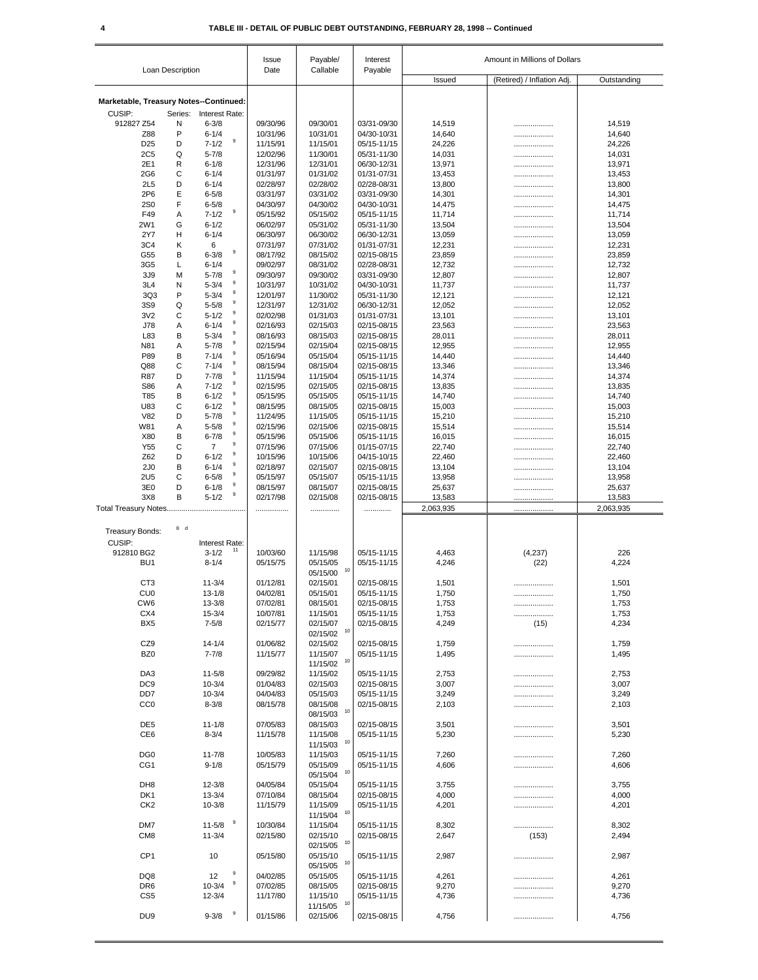|                                        | Loan Description |                                    | Issue<br>Date        | Payable/<br>Callable       | Interest<br>Payable        | Amount in Millions of Dollars |                            |                  |
|----------------------------------------|------------------|------------------------------------|----------------------|----------------------------|----------------------------|-------------------------------|----------------------------|------------------|
|                                        |                  |                                    |                      |                            |                            | Issued                        | (Retired) / Inflation Adj. | Outstanding      |
| Marketable, Treasury Notes--Continued: |                  |                                    |                      |                            |                            |                               |                            |                  |
| CUSIP:                                 | Series:          | Interest Rate:                     |                      |                            |                            |                               |                            |                  |
| 912827 Z54                             | N                | $6 - 3/8$                          | 09/30/96             | 09/30/01                   | 03/31-09/30                | 14,519                        |                            | 14,519           |
| Z88                                    | P                | $6 - 1/4$                          | 10/31/96             | 10/31/01                   | 04/30-10/31                | 14,640                        |                            | 14,640           |
| D <sub>25</sub>                        | D                | $\boldsymbol{9}$<br>$7 - 1/2$      | 11/15/91             | 11/15/01                   | 05/15-11/15                | 24,226                        |                            | 24,226           |
| <b>2C5</b>                             | Q                | $5 - 7/8$                          | 12/02/96             | 11/30/01                   | 05/31-11/30                | 14,031                        |                            | 14,031           |
| 2E1                                    | R                | $6 - 1/8$                          | 12/31/96             | 12/31/01                   | 06/30-12/31                | 13,971                        |                            | 13,971           |
| 2G <sub>6</sub><br>2L5                 | С<br>D           | $6 - 1/4$<br>$6 - 1/4$             | 01/31/97<br>02/28/97 | 01/31/02<br>02/28/02       | 01/31-07/31<br>02/28-08/31 | 13,453<br>13,800              | .                          | 13,453<br>13,800 |
| 2P6                                    | Ε                | $6 - 5/8$                          | 03/31/97             | 03/31/02                   | 03/31-09/30                | 14,301                        | .<br>.                     | 14,301           |
| <b>2S0</b>                             | F                | $6 - 5/8$                          | 04/30/97             | 04/30/02                   | 04/30-10/31                | 14,475                        |                            | 14,475           |
| F49                                    | Α                | 9<br>$7 - 1/2$                     | 05/15/92             | 05/15/02                   | 05/15-11/15                | 11,714                        | .                          | 11,714           |
| 2W1                                    | G                | $6 - 1/2$                          | 06/02/97             | 05/31/02                   | 05/31-11/30                | 13,504                        |                            | 13,504           |
| 2Y7                                    | н                | $6 - 1/4$                          | 06/30/97             | 06/30/02                   | 06/30-12/31                | 13,059                        |                            | 13,059           |
| 3C4                                    | κ                | 6                                  | 07/31/97             | 07/31/02                   | 01/31-07/31                | 12,231                        | .                          | 12,231           |
| G55                                    | В                | $\boldsymbol{9}$<br>$6 - 3/8$      | 08/17/92             | 08/15/02                   | 02/15-08/15                | 23,859                        | .                          | 23,859           |
| 3G5                                    | L                | $6 - 1/4$<br>9                     | 09/02/97             | 08/31/02                   | 02/28-08/31                | 12,732                        | .                          | 12,732           |
| 3J9                                    | M                | $5 - 7/8$<br>9                     | 09/30/97             | 09/30/02                   | 03/31-09/30                | 12,807                        | .                          | 12,807           |
| 3L4                                    | N                | $5 - 3/4$<br>9                     | 10/31/97             | 10/31/02                   | 04/30-10/31                | 11,737                        | .                          | 11,737           |
| 3Q3<br>3S9                             | P<br>Q           | $5 - 3/4$<br>9<br>$5 - 5/8$        | 12/01/97<br>12/31/97 | 11/30/02<br>12/31/02       | 05/31-11/30<br>06/30-12/31 | 12,121                        | .                          | 12,121           |
| 3V <sub>2</sub>                        | С                | $\mathsf g$<br>$5 - 1/2$           | 02/02/98             | 01/31/03                   | 01/31-07/31                | 12,052<br>13,101              | .                          | 12,052<br>13,101 |
| <b>J78</b>                             | Α                | 9<br>$6 - 1/4$                     | 02/16/93             | 02/15/03                   | 02/15-08/15                | 23,563                        |                            | 23,563           |
| L83                                    | В                | 9<br>$5 - 3/4$                     | 08/16/93             | 08/15/03                   | 02/15-08/15                | 28,011                        | .<br>.                     | 28,011           |
| N81                                    | Α                | $\boldsymbol{9}$<br>$5 - 7/8$      | 02/15/94             | 02/15/04                   | 02/15-08/15                | 12,955                        |                            | 12,955           |
| P89                                    | В                | 9<br>$7 - 1/4$                     | 05/16/94             | 05/15/04                   | 05/15-11/15                | 14,440                        | .                          | 14,440           |
| Q88                                    | C                | 9<br>$7 - 1/4$                     | 08/15/94             | 08/15/04                   | 02/15-08/15                | 13,346                        |                            | 13,346           |
| <b>R87</b>                             | D                | 9<br>$7 - 7/8$                     | 11/15/94             | 11/15/04                   | 05/15-11/15                | 14,374                        | .                          | 14,374           |
| S86                                    | Α                | 9<br>$7 - 1/2$                     | 02/15/95             | 02/15/05                   | 02/15-08/15                | 13,835                        |                            | 13,835           |
| T85                                    | В                | 9<br>$6 - 1/2$                     | 05/15/95             | 05/15/05                   | 05/15-11/15                | 14,740                        |                            | 14,740           |
| U83                                    | C                | $\boldsymbol{9}$<br>$6 - 1/2$      | 08/15/95             | 08/15/05                   | 02/15-08/15                | 15,003                        |                            | 15,003           |
| V82                                    | D                | 9<br>$5 - 7/8$<br>$\boldsymbol{9}$ | 11/24/95             | 11/15/05                   | 05/15-11/15                | 15,210                        |                            | 15,210           |
| W81                                    | Α                | $5 - 5/8$<br>9                     | 02/15/96             | 02/15/06                   | 02/15-08/15                | 15,514                        |                            | 15,514           |
| X80                                    | B                | $6 - 7/8$<br>9                     | 05/15/96             | 05/15/06                   | 05/15-11/15                | 16,015                        |                            | 16,015           |
| Y55<br>Z62                             | C<br>D           | $\overline{7}$<br>9<br>$6 - 1/2$   | 07/15/96<br>10/15/96 | 07/15/06                   | 01/15-07/15                | 22,740                        | .                          | 22,740           |
| 2J <sub>0</sub>                        | В                | 9<br>$6 - 1/4$                     | 02/18/97             | 10/15/06<br>02/15/07       | 04/15-10/15<br>02/15-08/15 | 22,460<br>13,104              |                            | 22,460<br>13,104 |
| <b>2U5</b>                             | C                | 9<br>$6 - 5/8$                     | 05/15/97             | 05/15/07                   | 05/15-11/15                | 13,958                        | <br>                       | 13,958           |
| 3E0                                    | D                | $\boldsymbol{9}$<br>$6 - 1/8$      | 08/15/97             | 08/15/07                   | 02/15-08/15                | 25,637                        |                            | 25,637           |
| 3X8                                    | B                | 9<br>$5 - 1/2$                     | 02/17/98             | 02/15/08                   | 02/15-08/15                | 13,583                        |                            | 13,583           |
|                                        |                  |                                    |                      |                            | .                          | 2,063,935                     |                            | 2,063,935        |
|                                        |                  |                                    |                      |                            |                            |                               |                            |                  |
| <b>Treasury Bonds:</b>                 | 8d               |                                    |                      |                            |                            |                               |                            |                  |
| CUSIP:                                 |                  | Interest Rate:                     |                      |                            |                            |                               |                            |                  |
| 912810 BG2                             |                  | 11<br>$3 - 1/2$                    | 10/03/60             | 11/15/98                   | 05/15-11/15                | 4,463                         | (4,237)                    | 226              |
| BU <sub>1</sub>                        |                  | $8 - 1/4$                          | 05/15/75             | 05/15/05                   | 05/15-11/15                | 4,246                         | (22)                       | 4,224            |
|                                        |                  |                                    |                      | 10<br>05/15/00             |                            |                               |                            |                  |
| C <sub>T3</sub>                        |                  | $11 - 3/4$                         | 01/12/81             | 02/15/01                   | 02/15-08/15                | 1,501                         |                            | 1,501            |
| CU0                                    |                  | $13 - 1/8$                         | 04/02/81             | 05/15/01                   | 05/15-11/15                | 1,750                         |                            | 1,750            |
| CW <sub>6</sub>                        |                  | $13 - 3/8$                         | 07/02/81             | 08/15/01                   | 02/15-08/15                | 1,753                         |                            | 1,753            |
| CX4                                    |                  | $15 - 3/4$                         | 10/07/81             | 11/15/01                   | 05/15-11/15                | 1,753                         | .                          | 1,753            |
| BX <sub>5</sub>                        |                  | $7 - 5/8$                          | 02/15/77             | 02/15/07<br>10<br>02/15/02 | 02/15-08/15                | 4,249                         | (15)                       | 4,234            |
| CZ9                                    |                  | $14 - 1/4$                         | 01/06/82             | 02/15/02                   | 02/15-08/15                | 1,759                         |                            | 1,759            |
| BZ <sub>0</sub>                        |                  | $7 - 7/8$                          | 11/15/77             | 11/15/07                   | 05/15-11/15                | 1,495                         | <br>                       | 1,495            |
|                                        |                  |                                    |                      | 10<br>11/15/02             |                            |                               |                            |                  |
| DA <sub>3</sub>                        |                  | $11 - 5/8$                         | 09/29/82             | 11/15/02                   | 05/15-11/15                | 2,753                         |                            | 2,753            |
| DC <sub>9</sub>                        |                  | $10 - 3/4$                         | 01/04/83             | 02/15/03                   | 02/15-08/15                | 3,007                         |                            | 3,007            |
| DD7                                    |                  | $10 - 3/4$                         | 04/04/83             | 05/15/03                   | 05/15-11/15                | 3,249                         |                            | 3,249            |
| CC <sub>0</sub>                        |                  | $8 - 3/8$                          | 08/15/78             | 08/15/08                   | 02/15-08/15                | 2,103                         | .                          | 2,103            |
|                                        |                  |                                    |                      | 10<br>08/15/03             |                            |                               |                            |                  |
| DE <sub>5</sub>                        |                  | $11 - 1/8$                         | 07/05/83             | 08/15/03                   | 02/15-08/15                | 3,501                         |                            | 3,501            |
| CE <sub>6</sub>                        |                  | $8 - 3/4$                          | 11/15/78             | 11/15/08                   | 05/15-11/15                | 5,230                         |                            | 5,230            |
|                                        |                  |                                    |                      | 10<br>11/15/03             |                            |                               |                            |                  |
| DG <sub>0</sub>                        |                  | $11 - 7/8$                         | 10/05/83             | 11/15/03                   | 05/15-11/15                | 7,260                         |                            | 7,260            |
| CG <sub>1</sub>                        |                  | $9 - 1/8$                          | 05/15/79             | 05/15/09<br>10             | 05/15-11/15                | 4,606                         |                            | 4,606            |
| DH <sub>8</sub>                        |                  | $12 - 3/8$                         | 04/05/84             | 05/15/04<br>05/15/04       | 05/15-11/15                | 3,755                         |                            | 3,755            |
| DK <sub>1</sub>                        |                  | $13 - 3/4$                         | 07/10/84             | 08/15/04                   | 02/15-08/15                | 4,000                         |                            | 4,000            |
| CK <sub>2</sub>                        |                  | $10 - 3/8$                         | 11/15/79             | 11/15/09                   | 05/15-11/15                | 4,201                         | <br>                       | 4,201            |
|                                        |                  |                                    |                      | 10<br>11/15/04             |                            |                               |                            |                  |
| DM7                                    |                  | 9<br>$11 - 5/8$                    | 10/30/84             | 11/15/04                   | 05/15-11/15                | 8,302                         |                            | 8,302            |
| CM <sub>8</sub>                        |                  | $11 - 3/4$                         | 02/15/80             | 02/15/10                   | 02/15-08/15                | 2,647                         | (153)                      | 2,494            |
|                                        |                  |                                    |                      | 10<br>02/15/05             |                            |                               |                            |                  |
| CP <sub>1</sub>                        |                  | 10                                 | 05/15/80             | 05/15/10                   | 05/15-11/15                | 2,987                         |                            | 2,987            |
|                                        |                  |                                    |                      | 10<br>05/15/05             |                            |                               |                            |                  |
| DQ8                                    |                  | 9<br>12                            | 04/02/85             | 05/15/05                   | 05/15-11/15                | 4,261                         | .                          | 4,261            |
| DR <sub>6</sub>                        |                  | 9<br>$10 - 3/4$                    | 07/02/85             | 08/15/05                   | 02/15-08/15                | 9,270                         |                            | 9,270            |
| CS <sub>5</sub>                        |                  | $12 - 3/4$                         | 11/17/80             | 11/15/10                   | 05/15-11/15                | 4,736                         |                            | 4,736            |
|                                        |                  | 9                                  |                      | 10<br>11/15/05             |                            |                               |                            |                  |
| DU <sub>9</sub>                        |                  | $9 - 3/8$                          | 01/15/86             | 02/15/06                   | 02/15-08/15                | 4,756                         |                            | 4,756            |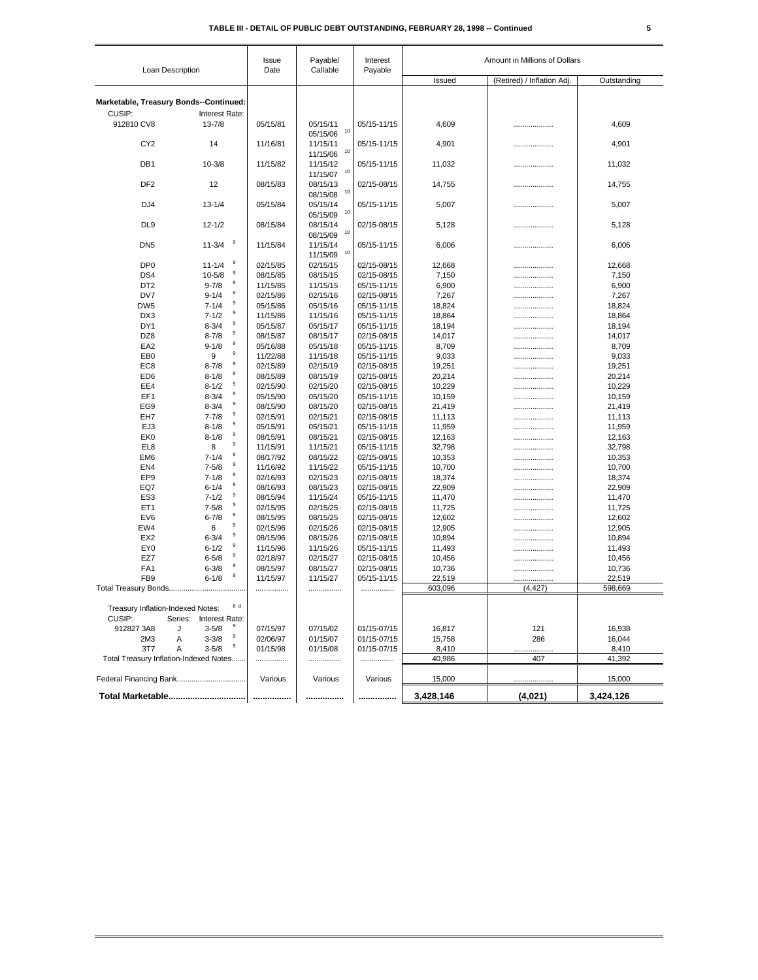| Loan Description<br>Marketable, Treasury Bonds--Continued:<br>CUSIP:<br>912810 CV8<br>CY <sub>2</sub><br>DB <sub>1</sub><br>DF <sub>2</sub><br>DJ <sub>4</sub><br>DL <sub>9</sub><br>DN <sub>5</sub><br>DP <sub>0</sub><br>DS4<br>DT <sub>2</sub><br>DV7<br>DW <sub>5</sub><br>DX3<br>DY1<br>DZ8<br>EA <sub>2</sub><br>EB <sub>0</sub><br>EC <sub>8</sub><br>ED <sub>6</sub> |                               | Date     | Callable                   | Payable     |                                                     |          |         |
|------------------------------------------------------------------------------------------------------------------------------------------------------------------------------------------------------------------------------------------------------------------------------------------------------------------------------------------------------------------------------|-------------------------------|----------|----------------------------|-------------|-----------------------------------------------------|----------|---------|
|                                                                                                                                                                                                                                                                                                                                                                              |                               |          |                            |             | (Retired) / Inflation Adj.<br>Issued<br>Outstanding |          |         |
|                                                                                                                                                                                                                                                                                                                                                                              |                               |          |                            |             |                                                     |          |         |
|                                                                                                                                                                                                                                                                                                                                                                              |                               |          |                            |             |                                                     |          |         |
|                                                                                                                                                                                                                                                                                                                                                                              | Interest Rate:                |          |                            |             |                                                     |          |         |
|                                                                                                                                                                                                                                                                                                                                                                              | $13 - 7/8$                    | 05/15/81 | 05/15/11<br>10<br>05/15/06 | 05/15-11/15 | 4,609                                               |          | 4,609   |
|                                                                                                                                                                                                                                                                                                                                                                              | 14                            | 11/16/81 | 11/15/11<br>10<br>11/15/06 | 05/15-11/15 | 4,901                                               | .        | 4,901   |
|                                                                                                                                                                                                                                                                                                                                                                              | $10 - 3/8$                    | 11/15/82 | 11/15/12<br>10<br>11/15/07 | 05/15-11/15 | 11,032                                              | .        | 11,032  |
|                                                                                                                                                                                                                                                                                                                                                                              | 12                            | 08/15/83 | 08/15/13<br>10<br>08/15/08 | 02/15-08/15 | 14,755                                              | .        | 14,755  |
|                                                                                                                                                                                                                                                                                                                                                                              | $13 - 1/4$                    | 05/15/84 | 05/15/14<br>10<br>05/15/09 | 05/15-11/15 | 5,007                                               |          | 5,007   |
|                                                                                                                                                                                                                                                                                                                                                                              | $12 - 1/2$                    | 08/15/84 | 08/15/14<br>10<br>08/15/09 | 02/15-08/15 | 5,128                                               | .        | 5,128   |
|                                                                                                                                                                                                                                                                                                                                                                              | 9<br>$11 - 3/4$               | 11/15/84 | 11/15/14<br>10<br>11/15/09 | 05/15-11/15 | 6,006                                               |          | 6,006   |
|                                                                                                                                                                                                                                                                                                                                                                              | 9<br>$11 - 1/4$               | 02/15/85 | 02/15/15                   | 02/15-08/15 | 12,668                                              |          | 12,668  |
|                                                                                                                                                                                                                                                                                                                                                                              | 9<br>$10 - 5/8$               | 08/15/85 | 08/15/15                   | 02/15-08/15 | 7,150                                               |          | 7,150   |
|                                                                                                                                                                                                                                                                                                                                                                              | 9<br>$9 - 7/8$                | 11/15/85 | 11/15/15                   | 05/15-11/15 | 6,900                                               |          | 6,900   |
|                                                                                                                                                                                                                                                                                                                                                                              | 9<br>$9 - 1/4$                | 02/15/86 | 02/15/16                   | 02/15-08/15 | 7,267                                               |          | 7,267   |
|                                                                                                                                                                                                                                                                                                                                                                              | 9<br>$7 - 1/4$                | 05/15/86 | 05/15/16                   | 05/15-11/15 | 18,824                                              | .        | 18,824  |
|                                                                                                                                                                                                                                                                                                                                                                              | 9<br>$7 - 1/2$                | 11/15/86 | 11/15/16                   | 05/15-11/15 | 18,864                                              | .        | 18,864  |
|                                                                                                                                                                                                                                                                                                                                                                              | 9<br>$8 - 3/4$                | 05/15/87 | 05/15/17                   | 05/15-11/15 | 18,194                                              | .        | 18,194  |
|                                                                                                                                                                                                                                                                                                                                                                              | 9<br>$8 - 7/8$                | 08/15/87 | 08/15/17                   | 02/15-08/15 | 14,017                                              | .        | 14,017  |
|                                                                                                                                                                                                                                                                                                                                                                              | 9<br>$9 - 1/8$                | 05/16/88 | 05/15/18                   | 05/15-11/15 | 8,709                                               | .        | 8,709   |
|                                                                                                                                                                                                                                                                                                                                                                              | 9<br>9                        | 11/22/88 | 11/15/18                   | 05/15-11/15 | 9,033                                               |          | 9,033   |
|                                                                                                                                                                                                                                                                                                                                                                              | 9<br>$8 - 7/8$                | 02/15/89 | 02/15/19                   | 02/15-08/15 | 19,251                                              | .        | 19,251  |
|                                                                                                                                                                                                                                                                                                                                                                              | 9<br>$8 - 1/8$                | 08/15/89 | 08/15/19                   | 02/15-08/15 | 20,214                                              | .        | 20,214  |
| EE4                                                                                                                                                                                                                                                                                                                                                                          | $\boldsymbol{9}$<br>$8 - 1/2$ | 02/15/90 | 02/15/20                   | 02/15-08/15 | 10,229                                              | .        | 10,229  |
| EF1                                                                                                                                                                                                                                                                                                                                                                          | $\boldsymbol{9}$<br>$8 - 3/4$ | 05/15/90 | 05/15/20                   | 05/15-11/15 | 10,159                                              | .        | 10,159  |
| EG9                                                                                                                                                                                                                                                                                                                                                                          | 9<br>$8 - 3/4$                | 08/15/90 | 08/15/20                   | 02/15-08/15 | 21,419                                              |          | 21,419  |
| EH7                                                                                                                                                                                                                                                                                                                                                                          | 9<br>$7 - 7/8$                | 02/15/91 | 02/15/21                   | 02/15-08/15 | 11,113                                              | .        | 11,113  |
| EJ3                                                                                                                                                                                                                                                                                                                                                                          | 9<br>$8 - 1/8$                | 05/15/91 | 05/15/21                   | 05/15-11/15 | 11,959                                              | .        | 11,959  |
| EK <sub>0</sub>                                                                                                                                                                                                                                                                                                                                                              | 9<br>$8 - 1/8$                | 08/15/91 | 08/15/21                   | 02/15-08/15 | 12,163                                              | .        | 12,163  |
| EL <sub>8</sub>                                                                                                                                                                                                                                                                                                                                                              | 9<br>8                        | 11/15/91 | 11/15/21                   | 05/15-11/15 | 32,798                                              | .        | 32,798  |
| EM <sub>6</sub>                                                                                                                                                                                                                                                                                                                                                              | 9<br>$7 - 1/4$                | 08/17/92 | 08/15/22                   | 02/15-08/15 | 10,353                                              |          | 10,353  |
| EN <sub>4</sub>                                                                                                                                                                                                                                                                                                                                                              | 9<br>$7 - 5/8$                | 11/16/92 | 11/15/22                   | 05/15-11/15 | 10,700                                              |          | 10,700  |
| EP <sub>9</sub>                                                                                                                                                                                                                                                                                                                                                              | 9<br>$7 - 1/8$                | 02/16/93 | 02/15/23                   | 02/15-08/15 | 18,374                                              |          | 18,374  |
| EQ7                                                                                                                                                                                                                                                                                                                                                                          | 9<br>$6 - 1/4$                | 08/16/93 | 08/15/23                   | 02/15-08/15 | 22,909                                              | .        | 22,909  |
| ES <sub>3</sub>                                                                                                                                                                                                                                                                                                                                                              | 9<br>$7 - 1/2$                | 08/15/94 | 11/15/24                   | 05/15-11/15 | 11,470                                              |          | 11,470  |
| ET <sub>1</sub>                                                                                                                                                                                                                                                                                                                                                              | 9<br>$7 - 5/8$                | 02/15/95 | 02/15/25                   | 02/15-08/15 | 11,725                                              | .        | 11,725  |
| EV <sub>6</sub>                                                                                                                                                                                                                                                                                                                                                              | 9<br>$6 - 7/8$                | 08/15/95 | 08/15/25                   | 02/15-08/15 | 12,602                                              | .        | 12,602  |
| EW4                                                                                                                                                                                                                                                                                                                                                                          | 9<br>6                        | 02/15/96 | 02/15/26                   | 02/15-08/15 | 12,905                                              | .        | 12,905  |
| EX <sub>2</sub>                                                                                                                                                                                                                                                                                                                                                              | 9<br>$6 - 3/4$                | 08/15/96 | 08/15/26                   | 02/15-08/15 | 10,894                                              | .        | 10,894  |
| EY <sub>0</sub>                                                                                                                                                                                                                                                                                                                                                              | 9<br>$6 - 1/2$                | 11/15/96 | 11/15/26                   | 05/15-11/15 | 11,493                                              | .        | 11,493  |
| EZ7                                                                                                                                                                                                                                                                                                                                                                          | 9<br>$6 - 5/8$                | 02/18/97 | 02/15/27                   | 02/15-08/15 | 10,456                                              | .        | 10,456  |
| FA <sub>1</sub>                                                                                                                                                                                                                                                                                                                                                              | 9<br>$6 - 3/8$                | 08/15/97 | 08/15/27                   | 02/15-08/15 | 10,736                                              |          | 10,736  |
| FB <sub>9</sub>                                                                                                                                                                                                                                                                                                                                                              | 9<br>$6 - 1/8$                | 11/15/97 | 11/15/27                   | 05/15-11/15 | 22,519                                              |          | 22,519  |
|                                                                                                                                                                                                                                                                                                                                                                              |                               |          |                            |             | 603,096                                             | (4, 427) | 598,669 |
| Treasury Inflation-Indexed Notes:<br>CUSIP:<br>Series:                                                                                                                                                                                                                                                                                                                       | 8 d<br>Interest Rate:         |          |                            |             |                                                     |          |         |
| 912827 3A8<br>J                                                                                                                                                                                                                                                                                                                                                              | $3 - 5/8$                     | 07/15/97 | 07/15/02                   | 01/15-07/15 | 16,817                                              | 121      | 16,938  |
| 2M3<br>Α                                                                                                                                                                                                                                                                                                                                                                     | 9<br>$3 - 3/8$                | 02/06/97 | 01/15/07                   | 01/15-07/15 | 15,758                                              | 286      | 16,044  |
| 3T7<br>Α                                                                                                                                                                                                                                                                                                                                                                     | 9<br>$3 - 5/8$                | 01/15/98 | 01/15/08                   | 01/15-07/15 | 8,410                                               |          | 8,410   |
| Total Treasury Inflation-Indexed Notes                                                                                                                                                                                                                                                                                                                                       |                               | .        |                            |             | 40,986                                              | 407      | 41,392  |
| Federal Financing Bank                                                                                                                                                                                                                                                                                                                                                       |                               | Various  | Various                    | Various     | 15,000                                              |          | 15,000  |
| Total Marketable                                                                                                                                                                                                                                                                                                                                                             |                               |          |                            |             |                                                     |          |         |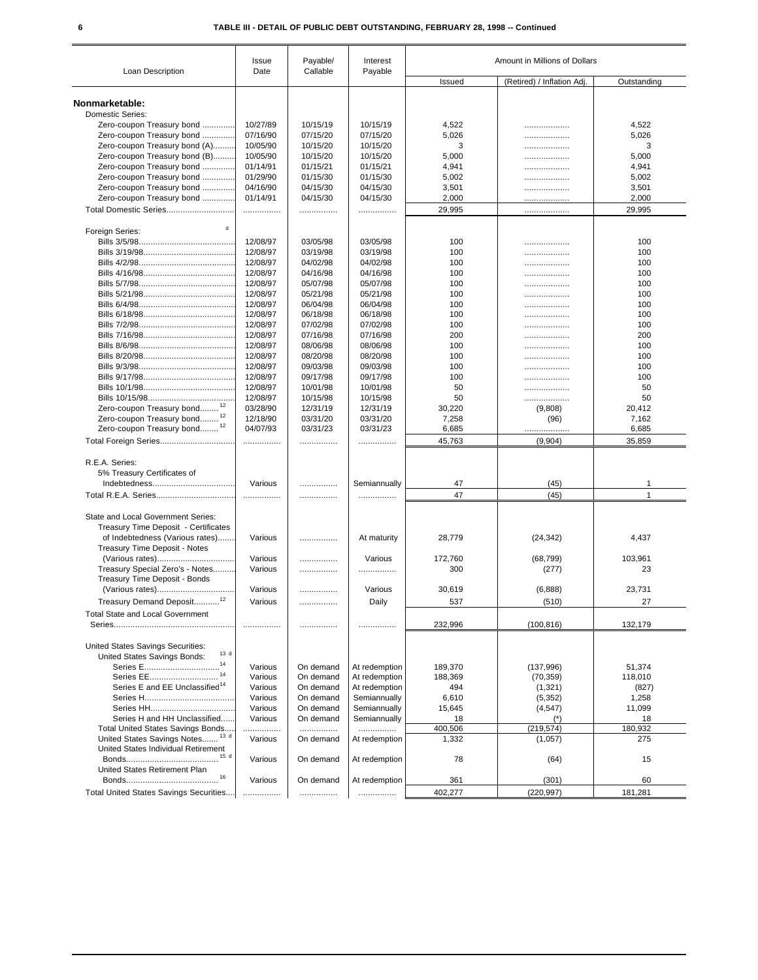|                                                  | Issue    | Payable/  | Interest      |                 | Amount in Millions of Dollars |                 |
|--------------------------------------------------|----------|-----------|---------------|-----------------|-------------------------------|-----------------|
| Loan Description                                 | Date     | Callable  | Payable       | Issued          | (Retired) / Inflation Adj.    | Outstanding     |
| Nonmarketable:                                   |          |           |               |                 |                               |                 |
| <b>Domestic Series:</b>                          |          |           |               |                 |                               |                 |
| Zero-coupon Treasury bond                        | 10/27/89 | 10/15/19  | 10/15/19      | 4,522           | .                             | 4,522           |
| Zero-coupon Treasury bond                        | 07/16/90 | 07/15/20  | 07/15/20      | 5,026           |                               | 5,026           |
| Zero-coupon Treasury bond (A)                    | 10/05/90 | 10/15/20  | 10/15/20      | 3               | .                             | 3               |
| Zero-coupon Treasury bond (B)                    | 10/05/90 | 10/15/20  | 10/15/20      | 5,000           | .                             | 5,000           |
| Zero-coupon Treasury bond                        | 01/14/91 | 01/15/21  | 01/15/21      | 4,941           | .                             | 4,941           |
| Zero-coupon Treasury bond                        | 01/29/90 | 01/15/30  | 01/15/30      | 5,002           | .                             | 5,002           |
| Zero-coupon Treasury bond                        | 04/16/90 | 04/15/30  | 04/15/30      | 3,501           | .                             | 3,501           |
| Zero-coupon Treasury bond                        | 01/14/91 | 04/15/30  | 04/15/30      | 2,000           | .                             | 2,000           |
|                                                  | .        | .         | .             | 29,995          | .                             | 29,995          |
| $\mathbf d$<br>Foreign Series:                   |          |           |               |                 |                               |                 |
|                                                  | 12/08/97 | 03/05/98  | 03/05/98      | 100             |                               | 100             |
|                                                  | 12/08/97 | 03/19/98  | 03/19/98      | 100             |                               | 100             |
|                                                  | 12/08/97 | 04/02/98  | 04/02/98      | 100             | .                             | 100             |
|                                                  | 12/08/97 | 04/16/98  | 04/16/98      | 100             | .                             | 100             |
|                                                  | 12/08/97 | 05/07/98  | 05/07/98      | 100             | .                             | 100             |
|                                                  | 12/08/97 | 05/21/98  | 05/21/98      | 100             | .                             | 100             |
|                                                  | 12/08/97 | 06/04/98  | 06/04/98      | 100             | .                             | 100             |
|                                                  | 12/08/97 | 06/18/98  | 06/18/98      | 100             | .                             | 100             |
|                                                  | 12/08/97 | 07/02/98  | 07/02/98      | 100             | .                             | 100             |
|                                                  | 12/08/97 | 07/16/98  | 07/16/98      | 200             | .                             | 200             |
|                                                  | 12/08/97 | 08/06/98  | 08/06/98      | 100             | .                             | 100             |
|                                                  | 12/08/97 | 08/20/98  | 08/20/98      | 100             | .                             | 100             |
|                                                  | 12/08/97 | 09/03/98  | 09/03/98      | 100             | .                             | 100             |
|                                                  | 12/08/97 | 09/17/98  | 09/17/98      | 100             |                               | 100             |
|                                                  | 12/08/97 | 10/01/98  | 10/01/98      | 50              | .                             | 50              |
|                                                  | 12/08/97 | 10/15/98  | 10/15/98      | 50              | .                             | 50              |
| Zero-coupon Treasury bond                        | 03/28/90 | 12/31/19  | 12/31/19      | 30,220          | .<br>(9,808)                  | 20,412          |
| Zero-coupon Treasury bond <sup>12</sup>          | 12/18/90 | 03/31/20  | 03/31/20      | 7,258           |                               | 7,162           |
| Zero-coupon Treasury bond <sup>12</sup>          | 04/07/93 | 03/31/23  | 03/31/23      |                 | (96)                          |                 |
| Total Foreign Series                             |          | .         | .             | 6,685<br>45,763 | (9,904)                       | 6,685<br>35,859 |
|                                                  |          |           |               |                 |                               |                 |
| R.E.A. Series:                                   |          |           |               |                 |                               |                 |
| 5% Treasury Certificates of                      |          |           |               |                 |                               |                 |
|                                                  | Various  | .         | Semiannually  | 47              | (45)                          | 1               |
|                                                  | .        | .         | .             | 47              | (45)                          | 1               |
| State and Local Government Series:               |          |           |               |                 |                               |                 |
| Treasury Time Deposit - Certificates             |          |           |               |                 |                               |                 |
| of Indebtedness (Various rates)                  | Various  | .         | At maturity   | 28,779          | (24, 342)                     | 4,437           |
| Treasury Time Deposit - Notes                    |          |           |               |                 |                               |                 |
| (Various rates)                                  | Various  | .         | Various       | 172,760         | (68, 799)                     | 103,961         |
| Treasury Special Zero's - Notes                  | Various  | .         | .             | 300             | (277)                         | 23              |
| Treasury Time Deposit - Bonds<br>(Various rates) | Various  |           | Various       | 30,619          | (6,888)                       | 23,731          |
|                                                  |          | .         |               |                 |                               |                 |
| Treasury Demand Deposit                          | Various  |           | Daily         | 537             | (510)                         | 27              |
| <b>Total State and Local Government</b>          |          | .         | .             | 232,996         | (100, 816)                    | 132,179         |
|                                                  |          |           |               |                 |                               |                 |
| United States Savings Securities:                |          |           |               |                 |                               |                 |
| 13 d<br>United States Savings Bonds:             |          |           |               |                 |                               |                 |
| 14                                               | Various  | On demand | At redemption | 189,370         | (137,996)                     | 51,374          |
| 14<br>Series EE                                  | Various  | On demand | At redemption | 188,369         | (70, 359)                     | 118,010         |
| Series E and EE Unclassified <sup>14</sup>       | Various  | On demand | At redemption | 494             |                               |                 |
|                                                  | Various  | On demand | Semiannually  | 6,610           | (1, 321)<br>(5, 352)          | (827)<br>1,258  |
|                                                  | Various  | On demand | Semiannually  | 15,645          | (4, 547)                      | 11,099          |
| Series H and HH Unclassified                     | Various  | On demand | Semiannually  | 18              | $(*)$                         | 18              |
| Total United States Savings Bonds                | .        | .         |               | 400,506         | (219, 574)                    | 180,932         |
| United States Savings Notes <sup>13 d</sup>      | Various  | On demand | At redemption | 1,332           | (1,057)                       | 275             |
| United States Individual Retirement              |          |           |               |                 |                               |                 |
|                                                  | Various  | On demand | At redemption | 78              | (64)                          | 15              |
| United States Retirement Plan                    |          |           |               |                 |                               |                 |
|                                                  | Various  | On demand | At redemption | 361             | (301)                         | 60              |
|                                                  |          |           |               |                 |                               |                 |
| Total United States Savings Securities           |          | .         |               | 402,277         | (220, 997)                    | 181,281         |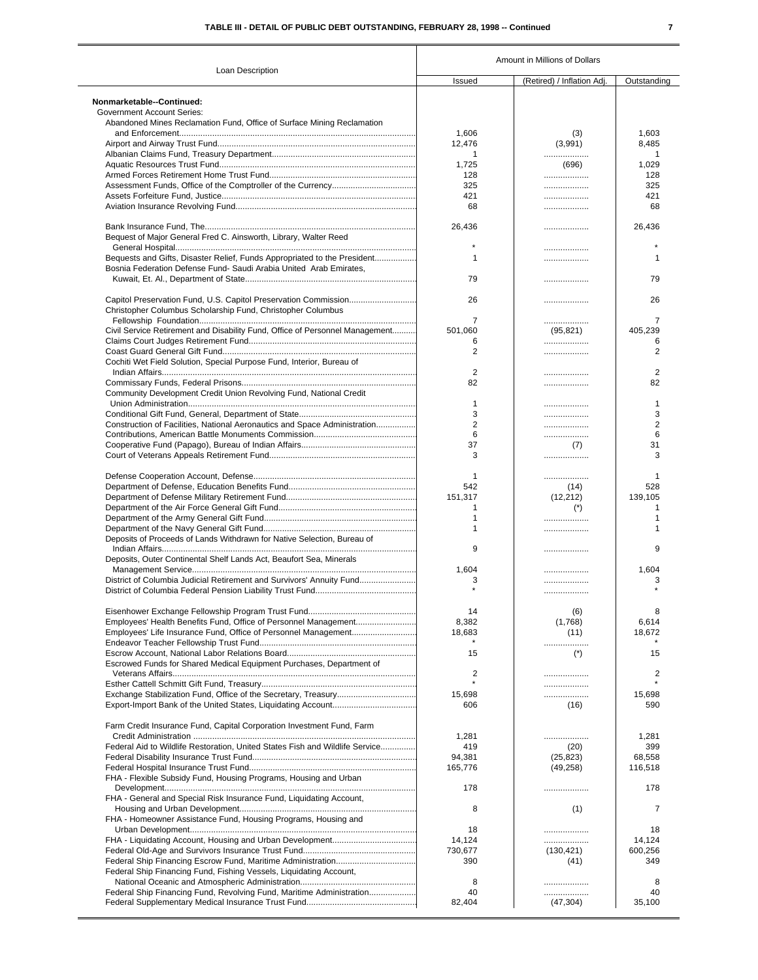Τ

|                                                                              | Amount in Millions of Dollars |                            |                |  |  |
|------------------------------------------------------------------------------|-------------------------------|----------------------------|----------------|--|--|
| Loan Description                                                             | Issued                        | (Retired) / Inflation Adj. | Outstanding    |  |  |
|                                                                              |                               |                            |                |  |  |
| Nonmarketable--Continued:<br><b>Government Account Series:</b>               |                               |                            |                |  |  |
| Abandoned Mines Reclamation Fund, Office of Surface Mining Reclamation       |                               |                            |                |  |  |
|                                                                              | 1,606                         | (3)                        | 1,603          |  |  |
|                                                                              | 12.476                        | (3,991)                    | 8,485          |  |  |
|                                                                              | 1                             | .                          | $\mathbf{1}$   |  |  |
|                                                                              | 1,725                         | (696)                      | 1,029          |  |  |
|                                                                              | 128                           | .                          | 128            |  |  |
|                                                                              | 325                           | .                          | 325            |  |  |
|                                                                              | 421                           |                            | 421            |  |  |
|                                                                              | 68                            |                            | 68             |  |  |
|                                                                              |                               |                            |                |  |  |
|                                                                              | 26,436                        | .                          | 26,436         |  |  |
| Bequest of Major General Fred C. Ainsworth, Library, Walter Reed             |                               |                            |                |  |  |
|                                                                              |                               |                            |                |  |  |
| Bequests and Gifts, Disaster Relief, Funds Appropriated to the President     | $\mathbf{1}$                  | .                          | $\mathbf{1}$   |  |  |
| Bosnia Federation Defense Fund- Saudi Arabia United Arab Emirates,           |                               |                            |                |  |  |
|                                                                              | 79                            |                            | 79             |  |  |
|                                                                              |                               |                            |                |  |  |
|                                                                              | 26                            | .                          | 26             |  |  |
| Christopher Columbus Scholarship Fund, Christopher Columbus                  |                               |                            |                |  |  |
|                                                                              | 7                             |                            | 7              |  |  |
| Civil Service Retirement and Disability Fund, Office of Personnel Management | 501.060                       | .<br>(95, 821)             | 405.239        |  |  |
|                                                                              | 6                             |                            | 6              |  |  |
|                                                                              | $\overline{2}$                | .<br>.                     | $\overline{2}$ |  |  |
|                                                                              |                               |                            |                |  |  |
| Cochiti Wet Field Solution, Special Purpose Fund, Interior, Bureau of        | $\overline{2}$                |                            | $\overline{2}$ |  |  |
|                                                                              |                               |                            |                |  |  |
|                                                                              | 82                            | .                          | 82             |  |  |
| Community Development Credit Union Revolving Fund, National Credit           | $\mathbf{1}$                  |                            |                |  |  |
|                                                                              |                               |                            | 1              |  |  |
|                                                                              | 3                             |                            | 3              |  |  |
| Construction of Facilities, National Aeronautics and Space Administration    | $\overline{2}$                |                            | $\overline{2}$ |  |  |
|                                                                              | 6                             | .                          | 6              |  |  |
|                                                                              | 37                            | (7)                        | 31             |  |  |
|                                                                              | 3                             |                            | 3              |  |  |
|                                                                              | $\mathbf{1}$                  | .                          | 1              |  |  |
|                                                                              | 542                           | (14)                       | 528            |  |  |
|                                                                              | 151,317                       | (12, 212)                  | 139,105        |  |  |
|                                                                              | 1                             | $(*)$                      | $\mathbf 1$    |  |  |
|                                                                              | $\mathbf{1}$                  |                            | 1              |  |  |
|                                                                              | 1                             |                            | 1              |  |  |
| Deposits of Proceeds of Lands Withdrawn for Native Selection, Bureau of      |                               | .                          |                |  |  |
|                                                                              | 9                             |                            | 9              |  |  |
| Deposits, Outer Continental Shelf Lands Act, Beaufort Sea, Minerals          |                               | .                          |                |  |  |
|                                                                              |                               |                            |                |  |  |
| District of Columbia Judicial Retirement and Survivors' Annuity Fund         | 1,604                         |                            | 1,604          |  |  |
|                                                                              | 3                             |                            | 3              |  |  |
|                                                                              |                               |                            |                |  |  |
|                                                                              | 14                            | (6)                        |                |  |  |
| Employees' Health Benefits Fund, Office of Personnel Management              | 8,382                         | (1,768)                    | 6,614          |  |  |
|                                                                              | 18,683                        | (11)                       | 18,672         |  |  |
|                                                                              |                               |                            |                |  |  |
|                                                                              | 15                            | .<br>$(*)$                 | 15             |  |  |
| Escrowed Funds for Shared Medical Equipment Purchases, Department of         |                               |                            |                |  |  |
|                                                                              | 2                             |                            | $\overline{2}$ |  |  |
|                                                                              |                               |                            |                |  |  |
|                                                                              |                               | .                          |                |  |  |
|                                                                              | 15,698<br>606                 |                            | 15,698<br>590  |  |  |
|                                                                              |                               | (16)                       |                |  |  |
| Farm Credit Insurance Fund, Capital Corporation Investment Fund, Farm        |                               |                            |                |  |  |
|                                                                              | 1,281                         | .                          | 1,281          |  |  |
| Federal Aid to Wildlife Restoration, United States Fish and Wildlife Service | 419                           | (20)                       | 399            |  |  |
|                                                                              | 94,381                        | (25, 823)                  | 68,558         |  |  |
|                                                                              | 165,776                       | (49, 258)                  | 116,518        |  |  |
| FHA - Flexible Subsidy Fund, Housing Programs, Housing and Urban             |                               |                            |                |  |  |
|                                                                              | 178                           |                            | 178            |  |  |
| FHA - General and Special Risk Insurance Fund, Liquidating Account,          |                               |                            |                |  |  |
|                                                                              | 8                             | (1)                        | 7              |  |  |
| FHA - Homeowner Assistance Fund, Housing Programs, Housing and               |                               |                            |                |  |  |
|                                                                              |                               |                            |                |  |  |
|                                                                              | 18                            | .                          | 18             |  |  |
|                                                                              | 14,124                        |                            | 14,124         |  |  |
|                                                                              | 730,677                       | (130, 421)                 | 600,256        |  |  |
|                                                                              | 390                           | (41)                       | 349            |  |  |
| Federal Ship Financing Fund, Fishing Vessels, Liquidating Account,           |                               |                            |                |  |  |
|                                                                              | 8                             |                            | 8              |  |  |
| Federal Ship Financing Fund, Revolving Fund, Maritime Administration         | 40                            | .                          | 40             |  |  |
|                                                                              | 82,404                        | (47, 304)                  | 35,100         |  |  |
|                                                                              |                               |                            |                |  |  |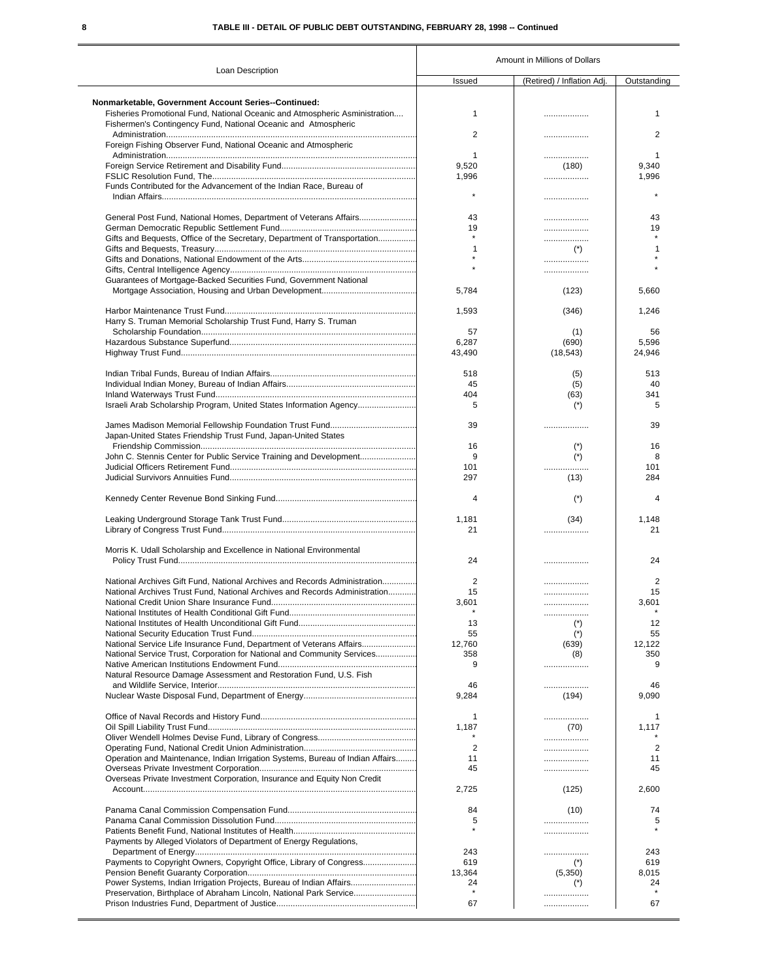### **8 TABLE III - DETAIL OF PUBLIC DEBT OUTSTANDING, FEBRUARY 28, 1998 -- Continued**

|                                                                                |                | Amount in Millions of Dollars |                |  |  |
|--------------------------------------------------------------------------------|----------------|-------------------------------|----------------|--|--|
| Loan Description                                                               | Issued         | (Retired) / Inflation Adj.    | Outstanding    |  |  |
|                                                                                |                |                               |                |  |  |
| Nonmarketable, Government Account Series--Continued:                           |                |                               |                |  |  |
| Fisheries Promotional Fund, National Oceanic and Atmospheric Asministration    | $\mathbf{1}$   | .                             | 1              |  |  |
| Fishermen's Contingency Fund, National Oceanic and Atmospheric                 |                |                               |                |  |  |
|                                                                                | $\overline{2}$ | .                             | $\overline{2}$ |  |  |
| Foreign Fishing Observer Fund, National Oceanic and Atmospheric                |                |                               |                |  |  |
|                                                                                | $\mathbf{1}$   |                               | 1              |  |  |
|                                                                                | 9,520          | (180)                         | 9,340          |  |  |
|                                                                                | 1,996          |                               | 1,996          |  |  |
| Funds Contributed for the Advancement of the Indian Race, Bureau of            | $\star$        |                               |                |  |  |
|                                                                                |                |                               |                |  |  |
|                                                                                |                |                               |                |  |  |
| General Post Fund, National Homes, Department of Veterans Affairs              | 43             |                               | 43             |  |  |
|                                                                                | 19<br>$\star$  |                               | 19             |  |  |
| Gifts and Bequests, Office of the Secretary, Department of Transportation      |                |                               |                |  |  |
|                                                                                | $\mathbf{1}$   | $(*)$                         |                |  |  |
|                                                                                |                |                               |                |  |  |
|                                                                                |                |                               |                |  |  |
| Guarantees of Mortgage-Backed Securities Fund, Government National             |                |                               |                |  |  |
|                                                                                | 5,784          | (123)                         | 5,660          |  |  |
|                                                                                |                |                               |                |  |  |
|                                                                                | 1,593          | (346)                         | 1,246          |  |  |
| Harry S. Truman Memorial Scholarship Trust Fund, Harry S. Truman               |                |                               |                |  |  |
|                                                                                | 57             | (1)                           | 56             |  |  |
|                                                                                | 6,287          | (690)                         | 5,596          |  |  |
|                                                                                | 43,490         | (18, 543)                     | 24,946         |  |  |
|                                                                                |                |                               |                |  |  |
|                                                                                | 518            | (5)                           | 513            |  |  |
|                                                                                | 45             | (5)                           | 40             |  |  |
|                                                                                | 404            | (63)                          | 341            |  |  |
|                                                                                |                |                               |                |  |  |
| Israeli Arab Scholarship Program, United States Information Agency             | 5              | $(*)$                         | 5              |  |  |
|                                                                                |                |                               |                |  |  |
|                                                                                | 39             |                               | 39             |  |  |
| Japan-United States Friendship Trust Fund, Japan-United States                 |                |                               |                |  |  |
|                                                                                | 16             | $(*)$                         | 16             |  |  |
| John C. Stennis Center for Public Service Training and Development             | 9              | $(*)$                         | 8              |  |  |
|                                                                                | 101            |                               | 101            |  |  |
|                                                                                | 297            | (13)                          | 284            |  |  |
|                                                                                | 4              |                               | $\overline{4}$ |  |  |
|                                                                                |                | $(*)$                         |                |  |  |
|                                                                                | 1,181          | (34)                          | 1,148          |  |  |
|                                                                                | 21             |                               | 21             |  |  |
|                                                                                |                |                               |                |  |  |
| Morris K. Udall Scholarship and Excellence in National Environmental           |                |                               |                |  |  |
|                                                                                | 24             |                               | 24             |  |  |
|                                                                                |                |                               |                |  |  |
| National Archives Gift Fund. National Archives and Records Administration      | $\overline{2}$ |                               | 2              |  |  |
| National Archives Trust Fund, National Archives and Records Administration     | 15             |                               | 15             |  |  |
|                                                                                | 3,601          | .                             | 3,601          |  |  |
|                                                                                |                |                               |                |  |  |
|                                                                                |                | .                             |                |  |  |
|                                                                                | 13             | $(*)$                         | 12             |  |  |
|                                                                                | 55             | $(\dot{z})$                   | 55             |  |  |
| National Service Life Insurance Fund, Department of Veterans Affairs           | 12,760         | (639)                         | 12,122         |  |  |
| National Service Trust, Corporation for National and Community Services        | 358            | (8)                           | 350            |  |  |
|                                                                                | 9              | .                             | 9              |  |  |
| Natural Resource Damage Assessment and Restoration Fund, U.S. Fish             |                |                               |                |  |  |
|                                                                                | 46             | .                             | 46             |  |  |
|                                                                                | 9,284          | (194)                         | 9,090          |  |  |
|                                                                                |                |                               |                |  |  |
|                                                                                | $\mathbf{1}$   | .                             | 1              |  |  |
|                                                                                | 1,187          | (70)                          | 1,117          |  |  |
|                                                                                |                |                               |                |  |  |
|                                                                                | $\overline{2}$ | .                             | $\overline{2}$ |  |  |
| Operation and Maintenance, Indian Irrigation Systems, Bureau of Indian Affairs | 11             |                               | 11             |  |  |
|                                                                                | 45             | .                             | 45             |  |  |
| Overseas Private Investment Corporation, Insurance and Equity Non Credit       |                |                               |                |  |  |
|                                                                                | 2,725          | (125)                         | 2,600          |  |  |
|                                                                                |                |                               |                |  |  |
|                                                                                | 84             | (10)                          | 74             |  |  |
|                                                                                | 5              |                               | 5              |  |  |
|                                                                                |                |                               |                |  |  |
| Payments by Alleged Violators of Department of Energy Regulations,             |                |                               |                |  |  |
|                                                                                |                |                               |                |  |  |
|                                                                                | 243            | .                             | 243            |  |  |
| Payments to Copyright Owners, Copyright Office, Library of Congress            | 619            | $(*)$                         | 619            |  |  |
|                                                                                | 13,364         | (5,350)                       | 8,015          |  |  |
| Power Systems, Indian Irrigation Projects, Bureau of Indian Affairs            | 24             | $(*)$                         | 24             |  |  |
| Preservation, Birthplace of Abraham Lincoln, National Park Service             | $\star$        | .                             |                |  |  |
|                                                                                | 67             |                               | 67             |  |  |
|                                                                                |                |                               |                |  |  |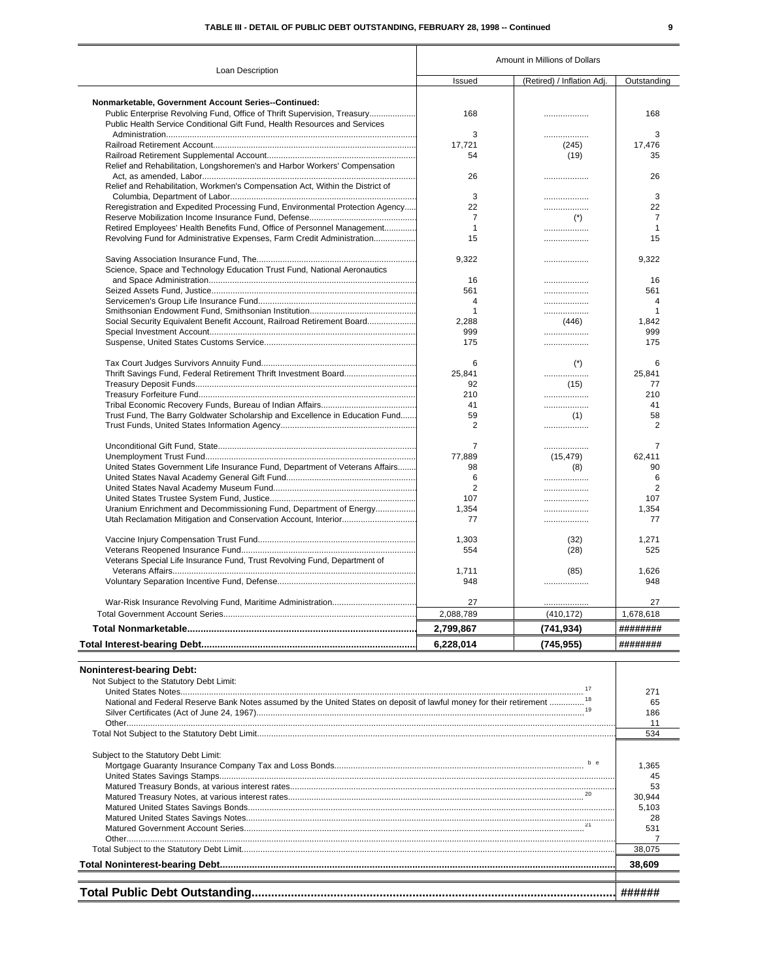| Loan Description                                                              |                | Amount in Millions of Dollars |                |
|-------------------------------------------------------------------------------|----------------|-------------------------------|----------------|
|                                                                               | Issued         | (Retired) / Inflation Adj     | Outstanding    |
|                                                                               |                |                               |                |
| Nonmarketable, Government Account Series--Continued:                          |                |                               |                |
| Public Enterprise Revolving Fund, Office of Thrift Supervision, Treasury      | 168            | .                             | 168            |
| Public Health Service Conditional Gift Fund, Health Resources and Services    |                |                               |                |
|                                                                               | 3              | .                             | 3              |
|                                                                               | 17,721         | (245)                         | 17,476         |
|                                                                               | 54             | (19)                          | 35             |
| Relief and Rehabilitation, Longshoremen's and Harbor Workers' Compensation    |                |                               |                |
|                                                                               | 26             | .                             | 26             |
| Relief and Rehabilitation, Workmen's Compensation Act, Within the District of |                |                               |                |
|                                                                               | 3              |                               | 3              |
| Reregistration and Expedited Processing Fund, Environmental Protection Agency | 22             | .                             | 22             |
|                                                                               | $\overline{7}$ | $(*)$                         | $\overline{7}$ |
| Retired Employees' Health Benefits Fund, Office of Personnel Management       | $\mathbf{1}$   | .                             | $\mathbf{1}$   |
| Revolving Fund for Administrative Expenses, Farm Credit Administration        | 15             | .                             | 15             |
|                                                                               | 9,322          | .                             | 9,322          |
| Science, Space and Technology Education Trust Fund, National Aeronautics      |                |                               |                |
|                                                                               | 16             |                               | 16             |
|                                                                               | 561            |                               | 561            |
|                                                                               | $\overline{4}$ |                               | 4              |
|                                                                               | $\mathbf{1}$   |                               | $\overline{1}$ |
| Social Security Equivalent Benefit Account, Railroad Retirement Board         | 2,288          | (446)                         | 1,842          |
|                                                                               | 999            |                               | 999            |
|                                                                               | 175            | .                             | 175            |
|                                                                               | 6              | $(*)$                         | 6              |
|                                                                               | 25,841         |                               | 25,841         |
|                                                                               | 92             | (15)                          | 77             |
|                                                                               | 210            | .                             | 210            |
|                                                                               | 41             |                               | 41             |
| Trust Fund, The Barry Goldwater Scholarship and Excellence in Education Fund  | 59             | (1)                           | 58             |
|                                                                               | $\overline{2}$ |                               | $\overline{2}$ |
|                                                                               |                |                               |                |
|                                                                               | $\overline{7}$ | .                             | $\overline{7}$ |
|                                                                               | 77,889         | (15, 479)                     | 62,411         |
| United States Government Life Insurance Fund, Department of Veterans Affairs  | 98             | (8)                           | 90             |
|                                                                               | 6              |                               | 6              |
|                                                                               | $\overline{2}$ |                               | $\overline{2}$ |
|                                                                               | 107            | .                             | 107            |
| Uranium Enrichment and Decommissioning Fund, Department of Energy             | 1.354          | .                             | 1.354          |
|                                                                               | 77             | .                             | 77             |
|                                                                               | 1,303          | (32)                          | 1,271          |
|                                                                               | 554            | (28)                          | 525            |
| Veterans Special Life Insurance Fund, Trust Revolving Fund, Department of     |                |                               |                |
|                                                                               | 1,711          | (85)                          | 1,626          |
|                                                                               | 948            |                               | 948            |
|                                                                               | 27             | .                             | 27             |
|                                                                               | 2,088,789      | (410, 172)                    | 1,678,618      |
|                                                                               | 2,799,867      | (741, 934)                    | ########       |
|                                                                               | 6,228,014      | (745, 955)                    | ########       |

| <b>Noninterest-bearing Debt:</b>                                                                                                  |        |
|-----------------------------------------------------------------------------------------------------------------------------------|--------|
| Not Subject to the Statutory Debt Limit:                                                                                          |        |
| 17                                                                                                                                | 27'    |
| National and Federal Reserve Bank Notes assumed by the United States on deposit of lawful money for their retirement <sup>1</sup> | 65     |
|                                                                                                                                   | 186    |
|                                                                                                                                   |        |
|                                                                                                                                   | 534    |
| Subject to the Statutory Debt Limit:                                                                                              |        |
|                                                                                                                                   | 1.365  |
|                                                                                                                                   | 45     |
|                                                                                                                                   | 53     |
|                                                                                                                                   | 30,944 |
|                                                                                                                                   | 5,103  |
|                                                                                                                                   | 28     |
|                                                                                                                                   | 531    |
|                                                                                                                                   |        |
|                                                                                                                                   | 38,075 |
|                                                                                                                                   | 38,609 |
|                                                                                                                                   |        |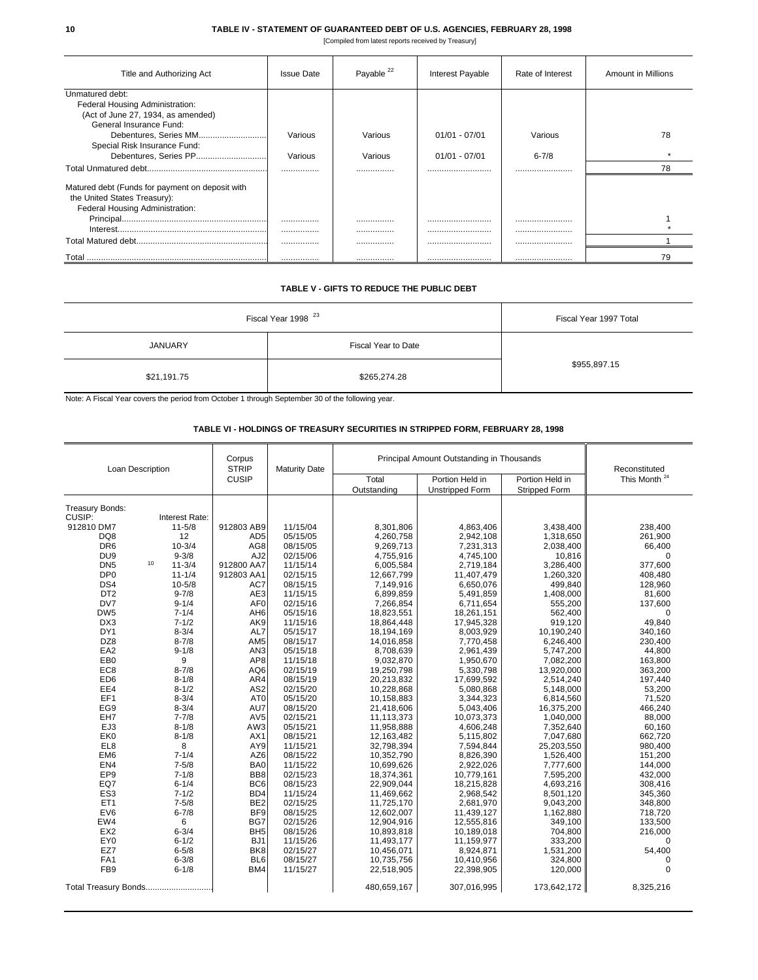#### **10 TABLE IV - STATEMENT OF GUARANTEED DEBT OF U.S. AGENCIES, FEBRUARY 28, 1998**

[Compiled from latest reports received by Treasury]

| Title and Authorizing Act                       | <b>Issue Date</b> | Payable <sup>22</sup> | Interest Payable | Rate of Interest | <b>Amount in Millions</b> |
|-------------------------------------------------|-------------------|-----------------------|------------------|------------------|---------------------------|
| Unmatured debt:                                 |                   |                       |                  |                  |                           |
| Federal Housing Administration:                 |                   |                       |                  |                  |                           |
| (Act of June 27, 1934, as amended)              |                   |                       |                  |                  |                           |
| General Insurance Fund:                         |                   |                       |                  |                  |                           |
| Debentures, Series MM                           | Various           | Various               | $01/01 - 07/01$  | Various          | 78                        |
| Special Risk Insurance Fund:                    |                   |                       |                  |                  |                           |
| Debentures, Series PP                           | Various           | Various               | $01/01 - 07/01$  | $6 - 7/8$        |                           |
|                                                 |                   |                       |                  |                  | 78                        |
| Matured debt (Funds for payment on deposit with |                   |                       |                  |                  |                           |
| the United States Treasury):                    |                   |                       |                  |                  |                           |
| Federal Housing Administration:                 |                   |                       |                  |                  |                           |
|                                                 |                   |                       |                  |                  |                           |
|                                                 |                   |                       |                  |                  |                           |
|                                                 | .                 |                       |                  |                  |                           |
|                                                 |                   |                       |                  |                  | 79                        |

### **TABLE V - GIFTS TO REDUCE THE PUBLIC DEBT**

| Fiscal Year 1998 <sup>23</sup> | Fiscal Year 1997 Total |              |  |
|--------------------------------|------------------------|--------------|--|
| <b>JANUARY</b>                 | Fiscal Year to Date    |              |  |
| \$21,191.75                    | \$265,274.28           | \$955,897.15 |  |

Note: A Fiscal Year covers the period from October 1 through September 30 of the following year.

### **TABLE VI - HOLDINGS OF TREASURY SECURITIES IN STRIPPED FORM, FEBRUARY 28, 1998**

| Loan Description                                   |                  | Corpus<br><b>STRIP</b> | <b>Maturity Date</b> | Principal Amount Outstanding in Thousands |                        |                      | Reconstituted            |
|----------------------------------------------------|------------------|------------------------|----------------------|-------------------------------------------|------------------------|----------------------|--------------------------|
|                                                    |                  | <b>CUSIP</b>           |                      | Total                                     | Portion Held in        | Portion Held in      | This Month <sup>24</sup> |
|                                                    |                  |                        |                      | Outstanding                               | <b>Unstripped Form</b> | <b>Stripped Form</b> |                          |
|                                                    |                  |                        |                      |                                           |                        |                      |                          |
| Treasurv Bonds:<br>CUSIP:                          | Interest Rate:   |                        |                      |                                           |                        |                      |                          |
| 912810 DM7                                         | $11 - 5/8$       | 912803 AB9             | 11/15/04             | 8,301,806                                 | 4,863,406              | 3,438,400            | 238,400                  |
| DQ8                                                | 12               | AD <sub>5</sub>        | 05/15/05             | 4,260,758                                 | 2,942,108              | 1,318,650            | 261,900                  |
| DR <sub>6</sub>                                    | $10 - 3/4$       | AG <sub>8</sub>        | 08/15/05             | 9,269,713                                 | 7,231,313              | 2,038,400            | 66,400                   |
| DU <sub>9</sub>                                    | $9 - 3/8$        | AJ <sub>2</sub>        | 02/15/06             | 4,755,916                                 | 4,745,100              | 10,816               | $\Omega$                 |
| DN <sub>5</sub>                                    | 10<br>$11 - 3/4$ | 912800 AA7             | 11/15/14             | 6,005,584                                 | 2,719,184              | 3,286,400            | 377.600                  |
| DP <sub>0</sub>                                    | $11 - 1/4$       | 912803 AA1             | 02/15/15             | 12,667,799                                | 11,407,479             | 1,260,320            | 408,480                  |
| DS4                                                | $10 - 5/8$       | AC7                    | 08/15/15             | 7,149,916                                 | 6,650,076              | 499,840              | 128,960                  |
| DT <sub>2</sub>                                    | $9 - 7/8$        | AE <sub>3</sub>        | 11/15/15             | 6,899,859                                 | 5,491,859              | 1,408,000            | 81,600                   |
| DV7                                                | $9 - 1/4$        | AF <sub>0</sub>        | 02/15/16             | 7,266,854                                 | 6,711,654              | 555,200              | 137,600                  |
| DW <sub>5</sub>                                    | $7 - 1/4$        | AH <sub>6</sub>        | 05/15/16             | 18,823,551                                | 18,261,151             | 562,400              | $\Omega$                 |
| DX3                                                | $7 - 1/2$        | AK9                    | 11/15/16             | 18,864,448                                | 17,945,328             | 919,120              | 49,840                   |
| DY <sub>1</sub>                                    | $8 - 3/4$        | AL7                    | 05/15/17             | 18,194,169                                | 8,003,929              | 10,190,240           | 340,160                  |
| DZ8                                                | $8 - 7/8$        | AM <sub>5</sub>        | 08/15/17             | 14,016,858                                | 7,770,458              | 6,246,400            | 230,400                  |
| EA <sub>2</sub>                                    | $9 - 1/8$        | AN <sub>3</sub>        | 05/15/18             | 8,708,639                                 | 2,961,439              | 5,747,200            | 44,800                   |
| EB <sub>0</sub>                                    | 9                | AP8                    | 11/15/18             | 9,032,870                                 | 1,950,670              | 7,082,200            | 163,800                  |
| EC <sub>8</sub>                                    | $8 - 7/8$        | AQ6                    | 02/15/19             | 19,250,798                                | 5,330,798              | 13,920,000           | 363,200                  |
| ED <sub>6</sub>                                    | $8 - 1/8$        | AR4                    | 08/15/19             | 20,213,832                                | 17,699,592             | 2,514,240            | 197,440                  |
| EE4                                                | $8 - 1/2$        | AS <sub>2</sub>        | 02/15/20             | 10,228,868                                | 5,080,868              | 5,148,000            | 53,200                   |
| EF <sub>1</sub>                                    | $8 - 3/4$        | AT <sub>0</sub>        | 05/15/20             | 10,158,883                                | 3,344,323              | 6,814,560            | 71,520                   |
| EG9                                                | $8 - 3/4$        | AU7                    | 08/15/20             | 21,418,606                                | 5,043,406              | 16,375,200           | 466,240                  |
| EH7                                                | $7 - 7/8$        | AV <sub>5</sub>        | 02/15/21             | 11,113,373                                | 10,073,373             | 1,040,000            | 88,000                   |
| EJ3                                                | $8 - 1/8$        | AW3                    | 05/15/21             | 11,958,888                                | 4,606,248              | 7,352,640            | 60,160                   |
| EK <sub>0</sub>                                    | $8 - 1/8$        | AX1                    | 08/15/21             | 12,163,482                                | 5,115,802              | 7,047,680            | 662,720                  |
| EL8                                                | 8                | AY9                    | 11/15/21             | 32,798,394                                | 7,594,844              | 25,203,550           | 980,400                  |
| EM <sub>6</sub>                                    | $7 - 1/4$        | AZ6                    | 08/15/22             | 10,352,790                                | 8,826,390              | 1,526,400            | 151,200                  |
| EN <sub>4</sub>                                    | $7 - 5/8$        | BA0                    | 11/15/22             | 10,699,626                                | 2,922,026              | 7,777,600            | 144,000                  |
| EP <sub>9</sub>                                    | $7 - 1/8$        | BB8                    | 02/15/23             | 18,374,361                                | 10,779,161             | 7,595,200            | 432,000                  |
| EQ7                                                | $6 - 1/4$        | BC <sub>6</sub>        | 08/15/23             | 22,909,044                                | 18,215,828             | 4,693,216            | 308,416                  |
| ES <sub>3</sub>                                    | $7 - 1/2$        | BD4                    | 11/15/24             | 11,469,662                                | 2,968,542              | 8,501,120            | 345,360                  |
| ET <sub>1</sub>                                    | $7 - 5/8$        | BE <sub>2</sub>        | 02/15/25             | 11,725,170                                | 2,681,970              | 9,043,200            | 348,800                  |
| EV6                                                | $6 - 7/8$        | BF <sub>9</sub>        | 08/15/25             | 12,602,007                                | 11,439,127             | 1,162,880            | 718,720                  |
| EW4                                                | 6                | BG7                    | 02/15/26             | 12,904,916                                | 12,555,816             | 349,100              | 133,500                  |
| EX <sub>2</sub>                                    | $6 - 3/4$        | BH <sub>5</sub>        | 08/15/26             | 10,893,818                                | 10,189,018             | 704,800              | 216,000                  |
| EY <sub>0</sub>                                    | $6 - 1/2$        | BJ1                    | 11/15/26             | 11,493,177                                | 11,159,977             | 333,200              | $\Omega$                 |
| EZ7                                                | $6 - 5/8$        | BK <sub>8</sub>        | 02/15/27             | 10,456,071                                | 8,924,871              | 1,531,200            | 54,400                   |
| FA <sub>1</sub>                                    | $6 - 3/8$        | BL <sub>6</sub>        | 08/15/27             | 10,735,756                                | 10,410,956             | 324,800              | 0                        |
| FB <sub>9</sub>                                    | $6 - 1/8$        | BM4                    | 11/15/27             | 22,518,905                                | 22,398,905             | 120,000              | $\Omega$                 |
| Total Treasury Bonds<br>307,016,995<br>480,659,167 |                  |                        |                      |                                           | 173,642,172            | 8,325,216            |                          |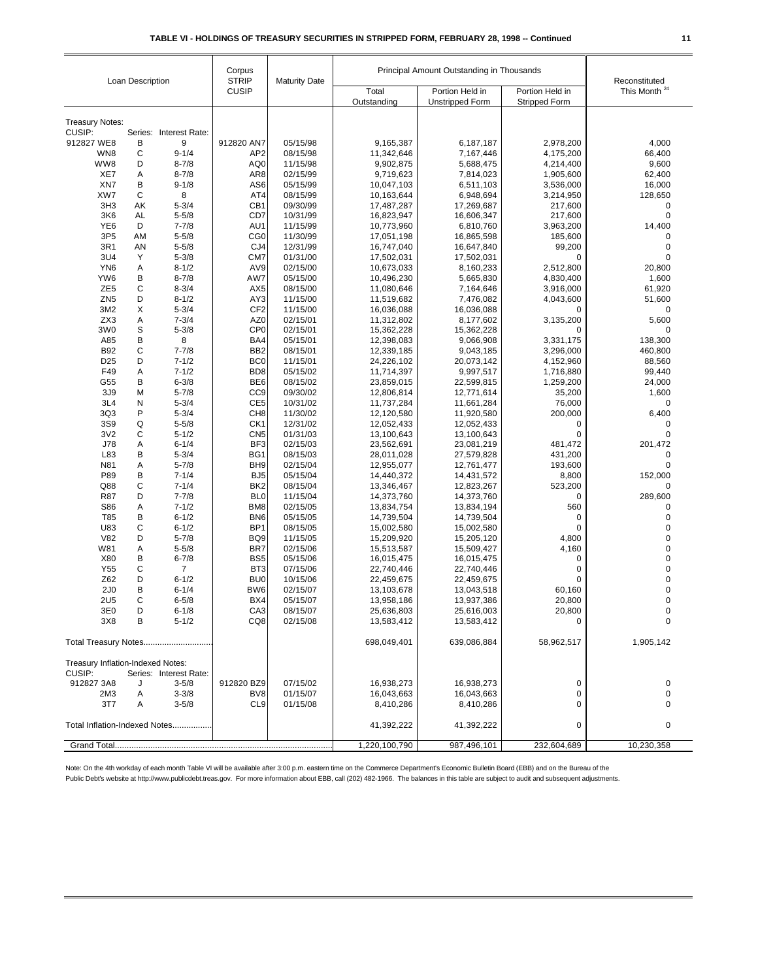| Loan Description                                                      |         | Corpus<br><b>STRIP</b> | <b>Maturity Date</b>               | Principal Amount Outstanding in Thousands |                          |                                           | Reconstituted                           |                          |
|-----------------------------------------------------------------------|---------|------------------------|------------------------------------|-------------------------------------------|--------------------------|-------------------------------------------|-----------------------------------------|--------------------------|
|                                                                       |         |                        | <b>CUSIP</b>                       |                                           | Total<br>Outstanding     | Portion Held in<br><b>Unstripped Form</b> | Portion Held in<br><b>Stripped Form</b> | This Month <sup>24</sup> |
|                                                                       |         |                        |                                    |                                           |                          |                                           |                                         |                          |
| <b>Treasury Notes:</b><br>CUSIP:                                      |         | Series: Interest Rate: |                                    |                                           |                          |                                           |                                         |                          |
| 912827 WE8                                                            | В       | 9                      | 912820 AN7                         | 05/15/98                                  | 9,165,387                | 6,187,187                                 | 2,978,200                               | 4,000                    |
| WN8                                                                   | C       | $9 - 1/4$              | AP <sub>2</sub>                    | 08/15/98                                  | 11,342,646               | 7,167,446                                 | 4,175,200                               | 66,400                   |
| WW8                                                                   | D       | $8 - 7/8$              | AQ0                                | 11/15/98                                  | 9,902,875                | 5,688,475                                 | 4,214,400                               | 9,600                    |
| XE7                                                                   | Α       | $8 - 7/8$              | AR <sub>8</sub>                    | 02/15/99                                  | 9,719,623                | 7,814,023                                 | 1,905,600                               | 62,400                   |
| XN7                                                                   | В       | $9 - 1/8$              | AS6                                | 05/15/99                                  | 10,047,103               | 6,511,103                                 | 3,536,000                               | 16,000                   |
| XW7                                                                   | C       | 8                      | AT4                                | 08/15/99                                  | 10,163,644               | 6,948,694                                 | 3,214,950                               | 128,650                  |
| 3H <sub>3</sub>                                                       | AΚ      | $5 - 3/4$              | CB <sub>1</sub>                    | 09/30/99                                  | 17,487,287               | 17,269,687                                | 217,600                                 | 0                        |
| 3K6<br>YE <sub>6</sub>                                                | AL<br>D | $5 - 5/8$<br>$7 - 7/8$ | CD7<br>AU1                         | 10/31/99<br>11/15/99                      | 16,823,947<br>10,773,960 | 16,606,347<br>6,810,760                   | 217,600<br>3,963,200                    | $\mathbf 0$<br>14,400    |
| 3P <sub>5</sub>                                                       | AM      | $5 - 5/8$              | CG <sub>0</sub>                    | 11/30/99                                  | 17,051,198               | 16,865,598                                | 185,600                                 | 0                        |
| 3R1                                                                   | AN      | $5 - 5/8$              | CJ4                                | 12/31/99                                  | 16,747,040               | 16,647,840                                | 99,200                                  | $\mathbf 0$              |
| 3U4                                                                   | Υ       | $5 - 3/8$              | CM7                                | 01/31/00                                  | 17,502,031               | 17,502,031                                | 0                                       | $\mathbf 0$              |
| YN <sub>6</sub>                                                       | Α       | $8 - 1/2$              | AV9                                | 02/15/00                                  | 10,673,033               | 8,160,233                                 | 2,512,800                               | 20,800                   |
| YW6                                                                   | В       | $8 - 7/8$              | AW7                                | 05/15/00                                  | 10,496,230               | 5,665,830                                 | 4,830,400                               | 1,600                    |
| ZE <sub>5</sub>                                                       | C       | $8 - 3/4$              | AX <sub>5</sub>                    | 08/15/00                                  | 11,080,646               | 7,164,646                                 | 3,916,000                               | 61,920                   |
| ZN <sub>5</sub>                                                       | D       | $8 - 1/2$              | AY3                                | 11/15/00                                  | 11,519,682               | 7,476,082                                 | 4,043,600                               | 51,600                   |
| 3M2                                                                   | Х       | $5 - 3/4$              | CF <sub>2</sub>                    | 11/15/00                                  | 16,036,088               | 16,036,088                                | 0                                       | $\mathbf 0$              |
| ZX3                                                                   | Α       | $7 - 3/4$              | AZ0                                | 02/15/01                                  | 11,312,802               | 8,177,602                                 | 3,135,200                               | 5,600                    |
| 3W <sub>0</sub>                                                       | S       | $5 - 3/8$              | CP <sub>0</sub>                    | 02/15/01                                  | 15,362,228               | 15,362,228                                | 0                                       | 0                        |
| A85                                                                   | B       | 8                      | BA4                                | 05/15/01                                  | 12,398,083               | 9,066,908                                 | 3,331,175                               | 138,300                  |
| <b>B92</b>                                                            | C       | $7 - 7/8$              | BB <sub>2</sub>                    | 08/15/01                                  | 12,339,185               | 9,043,185                                 | 3,296,000                               | 460,800                  |
| D <sub>25</sub>                                                       | D       | $7 - 1/2$              | BC <sub>0</sub>                    | 11/15/01                                  | 24,226,102               | 20,073,142                                | 4,152,960                               | 88,560                   |
| F49<br>G55                                                            | Α<br>В  | $7 - 1/2$<br>$6 - 3/8$ | BD <sub>8</sub><br>BE <sub>6</sub> | 05/15/02<br>08/15/02                      | 11,714,397<br>23,859,015 | 9,997,517<br>22,599,815                   | 1,716,880<br>1,259,200                  | 99,440<br>24,000         |
| 3J9                                                                   | М       | $5 - 7/8$              | CC <sub>9</sub>                    | 09/30/02                                  | 12,806,814               | 12,771,614                                | 35,200                                  | 1,600                    |
| 3L4                                                                   | N       | $5 - 3/4$              | CE <sub>5</sub>                    | 10/31/02                                  | 11,737,284               | 11,661,284                                | 76,000                                  | $\mathbf 0$              |
| 3Q3                                                                   | P       | $5 - 3/4$              | CH <sub>8</sub>                    | 11/30/02                                  | 12,120,580               | 11,920,580                                | 200,000                                 | 6,400                    |
| 3S9                                                                   | Q       | $5 - 5/8$              | CK <sub>1</sub>                    | 12/31/02                                  | 12,052,433               | 12,052,433                                | 0                                       | $\mathbf 0$              |
| 3V <sub>2</sub>                                                       | C       | $5 - 1/2$              | CN <sub>5</sub>                    | 01/31/03                                  | 13,100,643               | 13,100,643                                | $\mathbf 0$                             | $\mathbf 0$              |
| J78                                                                   | Α       | $6 - 1/4$              | BF3                                | 02/15/03                                  | 23,562,691               | 23,081,219                                | 481,472                                 | 201,472                  |
| L83                                                                   | B       | $5 - 3/4$              | BG1                                | 08/15/03                                  | 28,011,028               | 27,579,828                                | 431,200                                 | $\mathbf 0$              |
| N81                                                                   | Α       | $5 - 7/8$              | BH <sub>9</sub>                    | 02/15/04                                  | 12,955,077               | 12,761,477                                | 193,600                                 | 0                        |
| P89                                                                   | B       | $7 - 1/4$              | BJ <sub>5</sub>                    | 05/15/04                                  | 14,440,372               | 14,431,572                                | 8,800                                   | 152,000                  |
| Q88                                                                   | C       | $7 - 1/4$              | BK <sub>2</sub>                    | 08/15/04                                  | 13,346,467               | 12,823,267                                | 523,200                                 | 0                        |
| R87                                                                   | D       | $7 - 7/8$              | BL <sub>0</sub>                    | 11/15/04                                  | 14,373,760               | 14,373,760                                | 0                                       | 289,600                  |
| S86<br>T85                                                            | Α<br>В  | $7 - 1/2$<br>$6 - 1/2$ | BM <sub>8</sub><br>BN <sub>6</sub> | 02/15/05<br>05/15/05                      | 13,834,754<br>14,739,504 | 13,834,194<br>14,739,504                  | 560<br>0                                | $\mathbf 0$<br>$\pmb{0}$ |
| U83                                                                   | C       | $6 - 1/2$              | BP <sub>1</sub>                    | 08/15/05                                  | 15,002,580               | 15,002,580                                | $\mathbf 0$                             | $\mathbf 0$              |
| <b>V82</b>                                                            | D       | $5 - 7/8$              | BQ <sub>9</sub>                    | 11/15/05                                  | 15,209,920               | 15,205,120                                | 4,800                                   | $\mathbf 0$              |
| W81                                                                   | Α       | $5 - 5/8$              | BR7                                | 02/15/06                                  | 15,513,587               | 15,509,427                                | 4,160                                   | $\mathbf 0$              |
| X80                                                                   | B       | $6 - 7/8$              | BS <sub>5</sub>                    | 05/15/06                                  | 16,015,475               | 16,015,475                                | 0                                       | $\mathbf 0$              |
| Y55                                                                   | С       | $\overline{7}$         | BT <sub>3</sub>                    | 07/15/06                                  | 22,740,446               | 22,740,446                                | 0                                       | $\pmb{0}$                |
| Z62                                                                   | D       | $6 - 1/2$              | BU <sub>0</sub>                    | 10/15/06                                  | 22,459,675               | 22,459,675                                | $\mathbf 0$                             | $\mathbf 0$              |
| 2J <sub>0</sub>                                                       | B       | $6 - 1/4$              | BW6                                | 02/15/07                                  | 13,103,678               | 13,043,518                                | 60,160                                  | $\pmb{0}$                |
| <b>2U5</b>                                                            | C       | $6 - 5/8$              | BX4                                | 05/15/07                                  | 13,958,186               | 13,937,386                                | 20,800                                  | 0                        |
| 3E <sub>0</sub>                                                       | D       | $6 - 1/8$              | CA <sub>3</sub>                    | 08/15/07                                  | 25,636,803               | 25,616,003                                | 20,800                                  | $\Omega$                 |
| 3X8                                                                   | В       | $5 - 1/2$              | CQ8                                | 02/15/08                                  | 13,583,412               | 13,583,412                                | 0                                       | 0                        |
| Total Treasury Notes                                                  |         |                        |                                    | 698,049,401                               | 639,086,884              | 58,962,517                                | 1,905,142                               |                          |
| Treasury Inflation-Indexed Notes:<br>CUSIP:<br>Series: Interest Rate: |         |                        |                                    |                                           |                          |                                           |                                         |                          |
| 912827 3A8                                                            | J       | $3 - 5/8$              | 912820 BZ9                         | 07/15/02                                  | 16,938,273               | 16,938,273                                | 0                                       | 0                        |
| 2M <sub>3</sub>                                                       | A       | $3 - 3/8$              | BV8                                | 01/15/07                                  | 16,043,663               | 16,043,663                                | 0                                       | 0                        |
| 3T7                                                                   | Α       | $3 - 5/8$              | CL <sub>9</sub>                    | 01/15/08                                  | 8,410,286                | 8,410,286                                 | $\Omega$                                | 0                        |
| Total Inflation-Indexed Notes                                         |         |                        |                                    |                                           | 41,392,222               | 41,392,222                                | 0                                       | 0                        |
|                                                                       |         |                        |                                    |                                           | 1,220,100,790            | 987,496,101                               | 232,604,689                             | 10,230,358               |

Note: On the 4th workday of each month Table VI will be available after 3:00 p.m. eastern time on the Commerce Department's Economic Bulletin Board (EBB) and on the Bureau of the

Public Debt's website at http://www.publicdebt.treas.gov. For more information about EBB, call (202) 482-1966. The balances in this table are subject to audit and subsequent adjustments.